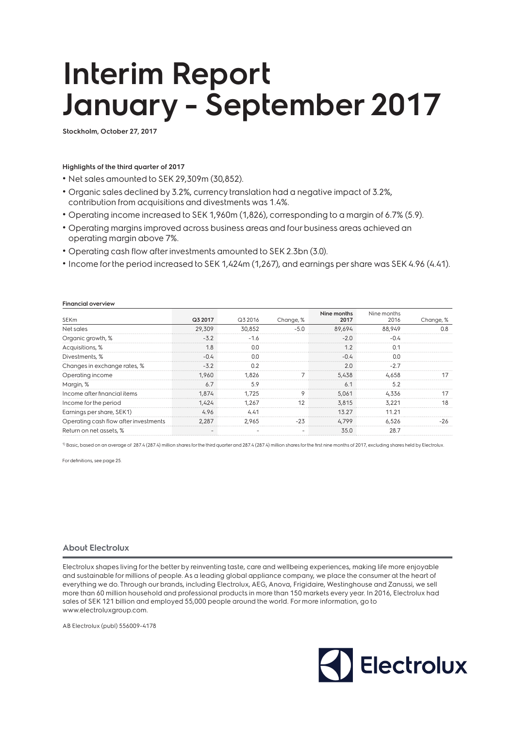# **Interim Report January - September 2017**

**Stockholm, October 27, 2017**

### **Highlights of the third quarter of 2017**

• Net sales amounted to SEK 29,309m (30,852).

- Organic sales declined by 3.2%, currency translation had a negative impact of 3.2%, contribution from acquisitions and divestments was 1.4%.
- Operating income increased to SEK 1,960m (1,826), corresponding to a margin of 6.7% (5.9).
- Operating margins improved across business areas and four business areas achieved an operating margin above 7%.
- Operating cash flow after investments amounted to SEK 2.3bn (3.0).
- Income for the period increased to SEK 1,424m (1,267), and earnings per share was SEK 4.96 (4.41).

### **Financial overview**

|                                       |         |                          |           | Nine months | Nine months |           |
|---------------------------------------|---------|--------------------------|-----------|-------------|-------------|-----------|
| <b>SEKm</b>                           | Q3 2017 | Q3 2016                  | Change, % | 2017        | 2016        | Change, % |
| Net sales                             | 29,309  | 30,852                   | $-5.0$    | 89,694      | 88,949      | 0.8       |
| Organic growth, %                     | $-3.2$  | $-1.6$                   |           | $-2.0$      | $-0.4$      |           |
| Acquisitions, %                       | 1.8     | 0.0                      |           | 1.2         | 0.1         |           |
| Divestments, %                        | $-0.4$  | 0.0                      |           | $-0.4$      | 0.0         |           |
| Changes in exchange rates, %          | $-3.2$  | 0.2                      |           | 2.0         | $-2.7$      |           |
| Operating income                      | 1.960   | 1.826                    |           | 5,438       | 4,658       | 17        |
| Margin, %                             | 6.7     | 5.9                      |           | 6.1         | 5.2         |           |
| Income after financial items          | 1.874   | 1.725                    | 9         | 5,061       | 4,336       | 17        |
| Income for the period                 | 1.424   | 1,267                    | 12        | 3,815       | 3,221       | 18        |
| Earnings per share, SEK1)             | 4.96    | 4.41                     |           | 13.27       | 11.21       |           |
| Operating cash flow after investments | 2,287   | 2,965                    | $-23$     | 4.799       | 6,526       | -26       |
| Return on net assets, %               |         | $\overline{\phantom{a}}$ | ۰         | 35.0        | 28.7        |           |
|                                       |         |                          |           |             |             |           |

<sup>1)</sup> Basic, based on an average of 287.4 (287.4) million shares for the third quarter and 287.4 (287.4) million shares for the first nine months of 2017, excluding shares held by Electrolux.

For definitions, see page 25.

### **About Electrolux**

Electrolux shapes living for the better by reinventing taste, care and wellbeing experiences, making life more enjoyable and sustainable for millions of people. As a leading global appliance company, we place the consumer at the heart of everything we do. Through our brands, including Electrolux, AEG, Anova, Frigidaire, Westinghouse and Zanussi, we sell more than 60 million household and professional products in more than 150 markets every year. In 2016, Electrolux had sales of SEK 121 billion and employed 55,000 people around the world. For more information, go to www.electroluxgroup.com.

AB Electrolux (publ) 556009-4178

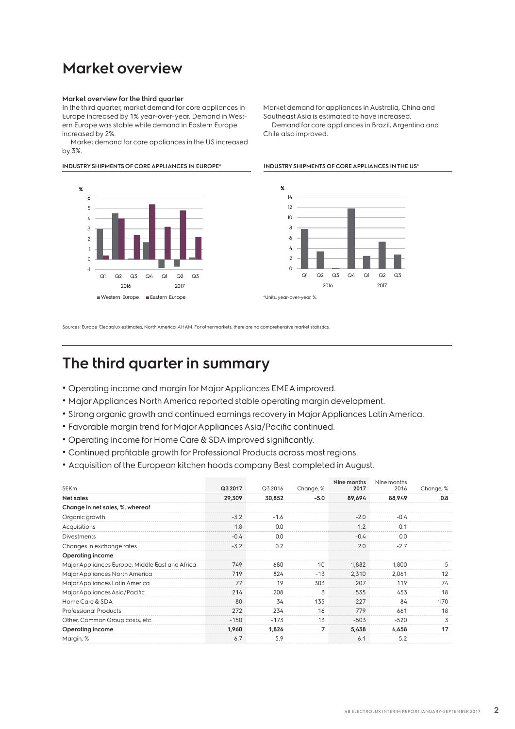### **Market overview**

### **Market overview for the third quarter**

In the third quarter, market demand for core appliances in Europe increased by 1% year-over-year. Demand in Western Europe was stable while demand in Eastern Europe increased by 2%.

Market demand for core appliances in the US increased by 3%.

**INDUSTRY SHIPMENTS OF CORE APPLIANCES IN EUROPE\* INDUSTRY SHIPMENTS OF CORE APPLIANCES IN THE US\*** 



Market demand for appliances in Australia, China and Southeast Asia is estimated to have increased. Demand for core appliances in Brazil, Argentina and Chile also improved.



Sources: Europe: Electrolux estimates, North America: AHAM. For other markets, there are no comprehensive market statistics.

### **The third quarter in summary**

- Operating income and margin for Major Appliances EMEA improved.
- Major Appliances North America reported stable operating margin development.
- Strong organic growth and continued earnings recovery in Major Appliances Latin America.
- Favorable margin trend for Major Appliances Asia/Pacific continued.
- Operating income for Home Care & SDA improved significantly.
- Continued profitable growth for Professional Products across most regions.
- Acquisition of the European kitchen hoods company Best completed in August.

|                                                 |         |         |           | Nine months | Nine months |           |
|-------------------------------------------------|---------|---------|-----------|-------------|-------------|-----------|
| <b>SEKm</b>                                     | Q3 2017 | Q3 2016 | Change, % | 2017        | 2016        | Change, % |
| Net sales                                       | 29,309  | 30,852  | $-5.0$    | 89,694      | 88,949      | 0.8       |
| Change in net sales, %, whereof                 |         |         |           |             |             |           |
| Organic growth                                  | $-3.2$  | $-1.6$  |           | $-2.0$      | $-0.4$      |           |
| Acquisitions                                    | 1.8     | 0.0     |           | 1.2         | 0.1         |           |
| <b>Divestments</b>                              | $-0.4$  | 0.0     |           | $-0.4$      | 0.0         |           |
| Changes in exchange rates                       | $-3.2$  | 0.2     |           | 2.0         | $-2.7$      |           |
| Operating income                                |         |         |           |             |             |           |
| Major Appliances Europe, Middle East and Africa | 749     | 680     | 10        | 1,882       | 1,800       | 5         |
| Major Appliances North America                  | 719     | 824     | $-13$     | 2,310       | 2,061       | 12        |
| Major Appliances Latin America                  | 77      | 19      | 303       | 207         | 119         | 74        |
| Major Appliances Asia/Pacific                   | 214     | 208     | 3         | 535         | 453         | 18        |
| Home Care & SDA                                 | 80      | 34      | 135       | 227         | 84          | 170       |
| <b>Professional Products</b>                    | 272     | 234     | 16        | 779         | 661         | 18        |
| Other, Common Group costs, etc.                 | $-150$  | $-173$  | 13        | $-503$      | $-520$      | 3         |
| Operating income                                | 1,960   | 1,826   | 7         | 5,438       | 4.658       | 17        |
| Margin, %                                       | 6.7     | 5.9     |           | 6.1         | 5.2         |           |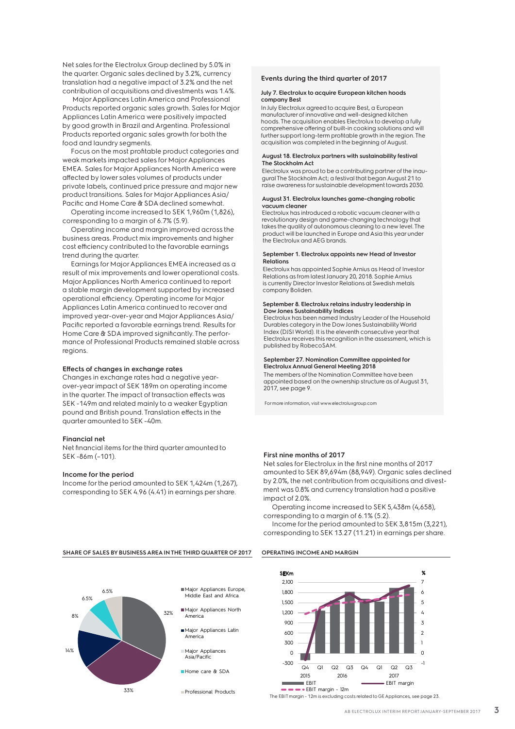Net sales for the Electrolux Group declined by 5.0% in the quarter. Organic sales declined by 3.2%, currency translation had a negative impact of 3.2% and the net contribution of acquisitions and divestments was 1.4%.

 Major Appliances Latin America and Professional Products reported organic sales growth. Sales for Major Appliances Latin America were positively impacted by good growth in Brazil and Argentina. Professional Products reported organic sales growth for both the food and laundry segments.

Focus on the most profitable product categories and weak markets impacted sales for Major Appliances EMEA. Sales for Major Appliances North America were affected by lower sales volumes of products under private labels, continued price pressure and major new product transitions. Sales for Major Appliances Asia/ Pacific and Home Care & SDA declined somewhat.

Operating income increased to SEK 1,960m (1,826), corresponding to a margin of 6.7% (5.9).

Operating income and margin improved across the business areas. Product mix improvements and higher cost efficiency contributed to the favorable earnings trend during the quarter.

Earnings for Major Appliances EMEA increased as a result of mix improvements and lower operational costs. Major Appliances North America continued to report a stable margin development supported by increased operational efficiency. Operating income for Major Appliances Latin America continued to recover and improved year-over-year and Major Appliances Asia/ Pacific reported a favorable earnings trend. Results for Home Care & SDA improved significantly. The performance of Professional Products remained stable across regions.

### **Effects of changes in exchange rates**

Changes in exchange rates had a negative yearover-year impact of SEK 189m on operating income in the quarter. The impact of transaction effects was SEK -149m and related mainly to a weaker Egyptian pound and British pound. Translation effects in the quarter amounted to SEK -40m.

### **Financial net**

Net financial items for the third quarter amounted to SEK -86m (–101).

#### **Income for the period**

Income for the period amounted to SEK 1,424m (1,267), corresponding to SEK 4.96 (4.41) in earnings per share.

### **Events during the third quarter of 2017**

#### **July 7. Electrolux to acquire European kitchen hoods company Best**

In July Electrolux agreed to acquire Best, a European manufacturer of innovative and well-designed kitchen hoods. The acquisition enables Electrolux to develop a fully comprehensive offering of built-in cooking solutions and w further support long-term profitable growth in the region. The acquisition was completed in the beginning of August.

### **August 18. Electrolux partners with sustainability festival The Stockholm Act**

Electrolux was proud to be a contributing partner of the inaugural The Stockholm Act; a festival that began August 21 to raise awareness for sustainable development towards 2030.

#### **August 31. Electrolux launches game-changing robotic vacuum cleaner**

Electrolux has introduced a robotic vacuum cleaner with a revolutionary design and game-changing technology that takes the quality of autonomous cleaning to a new level. The product will be launched in Europe and Asia this year under the Electrolux and AEG brands.

#### **September 1. Electrolux appoints new Head of Investor Relations**

Electrolux has appointed Sophie Arnius as Head of Investor Relations as from latest January 20, 2018. Sophie Arnius is currently Director Investor Relations at Swedish metals company Boliden.

#### **September 8. Electrolux retains industry leadership in Dow Jones Sustainability Indices**

Electrolux has been named Industry Leader of the Household Durables category in the Dow Jones Sustainability World Index (DJSI World). It is the eleventh consecutive year that Electrolux receives this recognition in the assessment, which is published by RobecoSAM.

#### **September 27. Nomination Committee appointed for Electrolux Annual General Meeting 2018**

The members of the Nomination Committee have been appointed based on the ownership structure as of August 31, 2017, see page 9.

For more information, visit www.electroluxgroup.com

### **First nine months of 2017**

Net sales for Electrolux in the first nine months of 2017 amounted to SEK 89,694m (88,949). Organic sales declined by 2.0%, the net contribution from acquisitions and divestment was 0.8% and currency translation had a positive impact of 2.0%.

Operating income increased to SEK 5,438m (4,658), corresponding to a margin of 6.1% (5.2).

Income for the period amounted to SEK 3,815m (3,221), corresponding to SEK 13.27 (11.21) in earnings per share.





**SHARE OF SALES BY BUSINESS AREA IN THE THIRD QUARTER OF 2017 OPERATING INCOME AND MARGIN**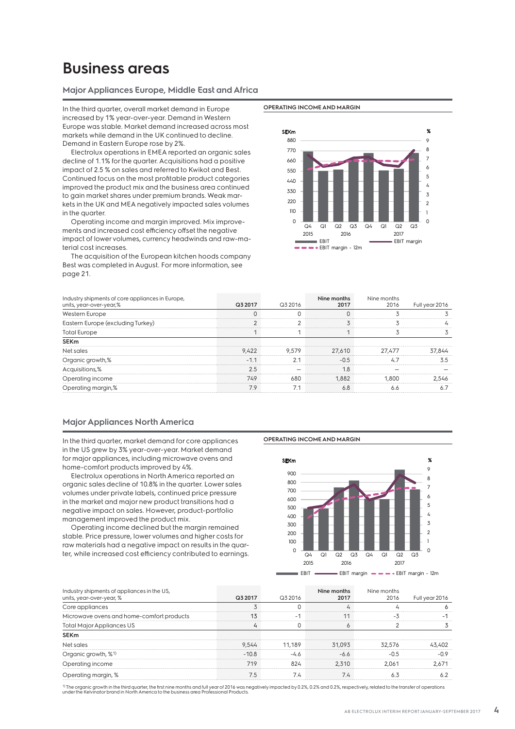### **Business areas**

### **Major Appliances Europe, Middle East and Africa**

In the third quarter, overall market demand in Europe increased by 1% year-over-year. Demand in Western Europe was stable. Market demand increased across most markets while demand in the UK continued to decline. Demand in Eastern Europe rose by 2%.

Electrolux operations in EMEA reported an organic sales decline of 1.1% for the quarter. Acquisitions had a positive impact of 2.5 % on sales and referred to Kwikot and Best. Continued focus on the most profitable product categories improved the product mix and the business area continued to gain market shares under premium brands. Weak markets in the UK and MEA negatively impacted sales volumes in the quarter.

Operating income and margin improved. Mix improvements and increased cost efficiency offset the negative impact of lower volumes, currency headwinds and raw-material cost increases.

The acquisition of the European kitchen hoods company Best was completed in August. For more information, see page 21.





| Industry shipments of core appliances in Europe,<br>units, year-over-year,% | Q3 2017 | Q3 2016        | Nine months<br>2017 | Nine months<br>2016 | Full year 2016 |
|-----------------------------------------------------------------------------|---------|----------------|---------------------|---------------------|----------------|
| Western Europe                                                              |         |                |                     |                     |                |
| Eastern Europe (excluding Turkey)                                           |         |                |                     |                     |                |
| <b>Total Europe</b>                                                         |         |                |                     |                     |                |
| <b>SEKm</b>                                                                 |         |                |                     |                     |                |
| Net sales                                                                   | 9.422   | 9.579          | 27,610              | 27.477              | 37,844         |
| Organic growth,%                                                            | $-1.1$  | 2 <sub>1</sub> | $-0.5$              | 4.7                 | 3.5            |
| Acquisitions,%                                                              | 2.5     |                | 1.8                 |                     |                |
| Operating income                                                            | 749     | 680            | 1.882               | 1,800               | 2.546          |
| Operating margin,%                                                          | 7.9     | 7.1            | 6.8                 | 6.6                 | 6.7            |

### **Major Appliances North America**

In the third quarter, market demand for core appliances in the US grew by 3% year-over-year. Market demand for major appliances, including microwave ovens and home-comfort products improved by 4%.

Electrolux operations in North America reported an organic sales decline of 10.8% in the quarter. Lower sales volumes under private labels, continued price pressure in the market and major new product transitions had a negative impact on sales. However, product-portfolio management improved the product mix.

Operating income declined but the margin remained stable. Price pressure, lower volumes and higher costs for raw materials had a negative impact on results in the quarter, while increased cost efficiency contributed to earnings.

### **OPERATING INCOME AND MARGIN**



| Industry shipments of appliances in the US, |         |        | Nine months | Nine months |                |
|---------------------------------------------|---------|--------|-------------|-------------|----------------|
| units, year-over-year, %                    | Q3 2017 | Q32016 | 2017        | 2016        | Full year 2016 |
| Core appliances                             |         |        |             |             |                |
| Microwave ovens and home-comfort products   | 13      |        | 11          | -3          |                |
| <b>Total Major Appliances US</b>            | Ц       |        |             |             |                |
| <b>SEKm</b>                                 |         |        |             |             |                |
| Net sales                                   | 9.544   | 11.189 | 31,093      | 32,576      | 43,402         |
| Organic growth, % <sup>1)</sup>             | $-10.8$ | $-4.6$ | $-6.6$      | $-0.5$      | $-0.9$         |
| Operating income                            | 719     | 824    | 2.310       | 2.061       | 2.671          |
| Operating margin, %                         | 7.5     | 7.4    | 7.4         | 6.3         | 6.2            |

<sup>1)</sup> The organic growth in the third quarter, the first nine months and full year of 2016 was negatively impacted by 0.2%, 0.2% and 0.2%, respectively, related to the transfer of operations<br>under the Kelvinator brand in No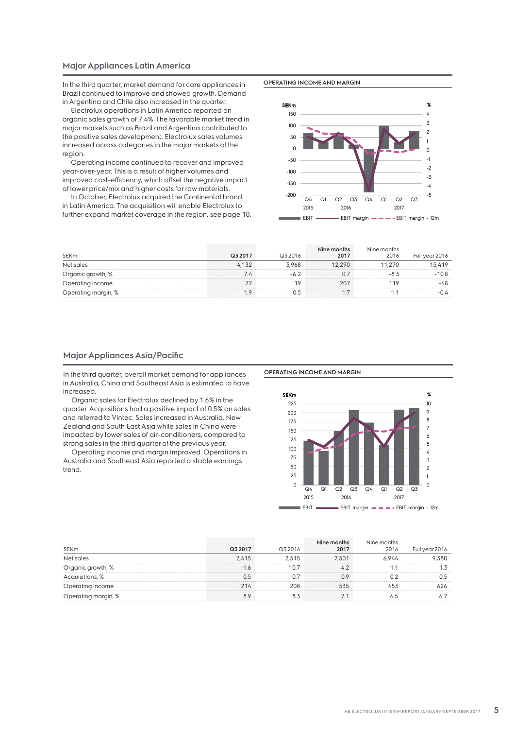### **Major Appliances Latin America**

In the third quarter, market demand for core appliances in Brazil continued to improve and showed growth. Demand in Argentina and Chile also increased in the quarter.

Electrolux operations in Latin America reported an organic sales growth of 7.4%. The favorable market trend in major markets such as Brazil and Argentina contributed to the positive sales development. Electrolux sales volumes increased across categories in the major markets of the region.

Operating income continued to recover and improved year-over-year. This is a result of higher volumes and improved cost-efficiency, which offset the negative impact of lower price/mix and higher costs for raw materials.

In October, Electrolux acquired the Continental brand in Latin America. The acquisition will enable Electrolux to further expand market coverage in the region, see page 10. **OPERATING INCOME AND MARGIN**



| SEKm                | Q3 2017 | Q3 2016 | Nine months<br>2017 | Nine months<br>2016 | Full year 2016 |
|---------------------|---------|---------|---------------------|---------------------|----------------|
| Net sales           | 4.132   | 3.968   | 12,290              | 11.270              | 15,419         |
| Organic growth, %   | 7.4     | -6.2    | 0.7                 |                     | $-10.8$        |
| Operating income    |         |         | 207                 | 119                 | -68            |
| Operating margin, % |         | 0.5     |                     |                     | -0.4           |

### **Major Appliances Asia/Pacific**

In the third quarter, overall market demand for appliances in Australia, China and Southeast Asia is estimated to have increased.

Organic sales for Electrolux declined by 1.6% in the quarter. Acquisitions had a positive impact of 0.5% on sales and referred to Vintec. Sales increased in Australia, New Zealand and South East Asia while sales in China were impacted by lower sales of air-conditioners, compared to strong sales in the third quarter of the previous year.

Operating income and margin improved. Operations in Australia and Southeast Asia reported a stable earnings trend.

#### **OPERATING INCOME AND MARGIN**



|                     |         |         | Nine months | Nine months |                |
|---------------------|---------|---------|-------------|-------------|----------------|
| <b>SEKm</b>         | Q3 2017 | Q3 2016 | 2017        | 2016        | Full year 2016 |
| Net sales           | 2,415   | 2.515   | 7.501       | 6.944       | 9,380          |
| Organic growth, %   | $-1.6$  | 10.7    | 42          |             |                |
| Acquisitions, %     | 0.5     |         | 0.9         |             | 0.5            |
| Operating income    | 214     | 208     | 535         | 453         | 626            |
| Operating margin, % | 8.9     | 8.3     | 7.1         |             |                |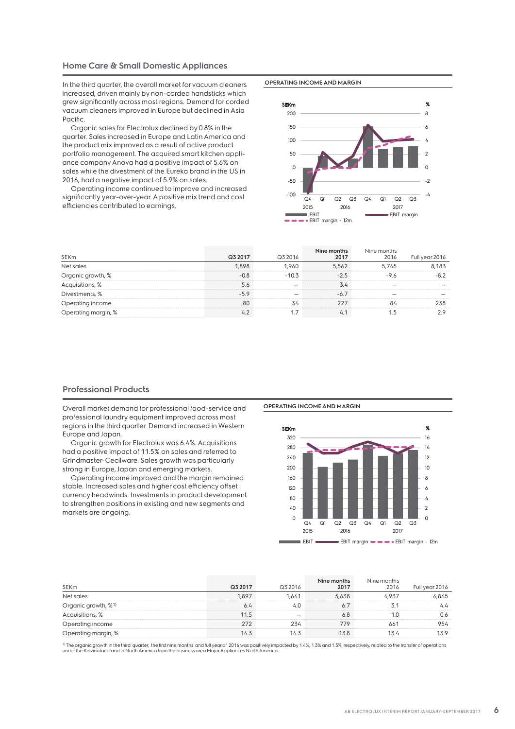### **Home Care & Small Domestic Appliances**

In the third quarter, the overall market for vacuum cleaners increased, driven mainly by non-corded handsticks which grew significantly across most regions. Demand for corded vacuum cleaners improved in Europe but declined in Asia Pacific.

Organic sales for Electrolux declined by 0.8% in the quarter. Sales increased in Europe and Latin America and the product mix improved as a result of active product portfolio management. The acquired smart kitchen appliance company Anova had a positive impact of 5.6% on sales while the divestment of the Eureka brand in the US in 2016, had a negative impact of 5.9% on sales.

Operating income continued to improve and increased significantly year-over-year. A positive mix trend and cost efficiencies contributed to earnings.

### **OPERATING INCOME AND MARGIN**



| SEKm                | Q3 2017 | Q3 2016 | Nine months<br>2017 | Nine months<br>2016 | Full year 2016 |
|---------------------|---------|---------|---------------------|---------------------|----------------|
| Net sales           | 1.898   | 1.960   | 5.562               | 5.745               | 8.183          |
| Organic growth, %   | $-0.8$  | $-10.3$ | $-2.5$              | -97                 |                |
| Acquisitions, %     | 5.6     |         | 3.4                 |                     |                |
| Divestments, %      | $-5.9$  |         | $-67$               |                     |                |
| Operating income    | 80      | 34      | 227                 | 84                  | 238            |
| Operating margin, % | 42      |         | 4.1                 |                     | 29             |

### **Professional Products**

Overall market demand for professional food-service and professional laundry equipment improved across most regions in the third quarter. Demand increased in Western Europe and Japan.

Organic growth for Electrolux was 6.4%. Acquisitions had a positive impact of 11.5% on sales and referred to Grindmaster-Cecilware. Sales growth was particularly strong in Europe, Japan and emerging markets.

Operating income improved and the margin remained stable. Increased sales and higher cost efficiency offset currency headwinds. Investments in product development to strengthen positions in existing and new segments and markets are ongoing.

**OPERATING INCOME AND MARGIN**



|                                 |         |                          | Nine months | Nine months |                |
|---------------------------------|---------|--------------------------|-------------|-------------|----------------|
| <b>SEKm</b>                     | Q3 2017 | Q3 2016                  | 2017        | 2016        | Full year 2016 |
| Net sales                       | 1.897   | 1.641                    | 5.638       | 4.937       | 6.865          |
| Organic growth, % <sup>1)</sup> | 6.4     | 4.0                      |             |             | 4.4            |
| Acquisitions, %                 | 11.5    | $\overline{\phantom{a}}$ | 6.8         |             | 0.6            |
| Operating income                | 272     | 234                      | 779         | 661         | 954            |
| Operating margin, %             | 14.3    | 14.3                     | 13.8        | 13.4        | 13.9           |

1) The organic growth in the third quarter, the first nine months and full year of 2016 was positively impacted by 1.4%, 1.3% and 1.3%, respectively, related to the transfer of operations<br>under the Kelvinator brand in Nort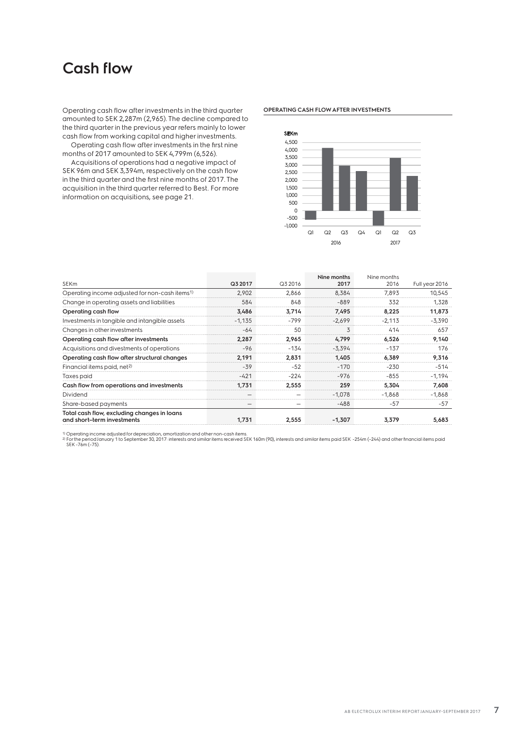### **Cash flow**

Operating cash flow after investments in the third quarter amounted to SEK 2,287m (2,965). The decline compared to the third quarter in the previous year refers mainly to lower cash flow from working capital and higher investments.

Operating cash flow after investments in the first nine months of 2017 amounted to SEK 4,799m (6,526).

Acquisitions of operations had a negative impact of SEK 96m and SEK 3,394m, respectively on the cash flow in the third quarter and the first nine months of 2017. The acquisition in the third quarter referred to Best. For more information on acquisitions, see page 21.

### **OPERATING CASH FLOW AFTER INVESTMENTS**



|                                                                           |          |         | Nine months | Nine months |                |
|---------------------------------------------------------------------------|----------|---------|-------------|-------------|----------------|
| <b>SEKm</b>                                                               | Q3 2017  | Q3 2016 | 2017        | 2016        | Full year 2016 |
| Operating income adjusted for non-cash items <sup>1)</sup>                | 2,902    | 2,866   | 8,384       | 7,893       | 10,545         |
| Change in operating assets and liabilities                                | 584      | 848     | $-889$      | 332         | 1,328          |
| Operating cash flow                                                       | 3,486    | 3,714   | 7,495       | 8,225       | 11,873         |
| Investments in tangible and intangible assets                             | $-1,135$ | -799    | $-2,699$    | $-2,113$    | $-3,390$       |
| Changes in other investments                                              | $-64$    | 50      | 3           | 414         | 657            |
| Operating cash flow after investments                                     | 2,287    | 2.965   | 4.799       | 6,526       | 9,140          |
| Acquisitions and divestments of operations                                | $-96$    | $-134$  | $-3,394$    | $-137$      | 176            |
| Operating cash flow after structural changes                              | 2,191    | 2,831   | 1.405       | 6,389       | 9,316          |
| Financial items paid, net <sup>2)</sup>                                   | $-39$    | $-52$   | $-170$      | $-230$      | -514           |
| Taxes paid                                                                | $-421$   | $-224$  | $-976$      | $-855$      | $-1,194$       |
| Cash flow from operations and investments                                 | 1.731    | 2.555   | 259         | 5.304       | 7,608          |
| <b>Dividend</b>                                                           |          |         | $-1,078$    | $-1,868$    | $-1,868$       |
| Share-based payments                                                      |          | -       | -488        | $-57$       | $-57$          |
| Total cash flow, excluding changes in loans<br>and short-term investments | 1,731    | 2,555   | $-1,307$    | 3,379       | 5,683          |

<sup>1)</sup> Operating income adjusted for depreciation, amortization and other non-cash items.<br><sup>2)</sup> For the period January 1 to September 30, 2017: interests and similar items received SEK 160m (90), interests and similar items p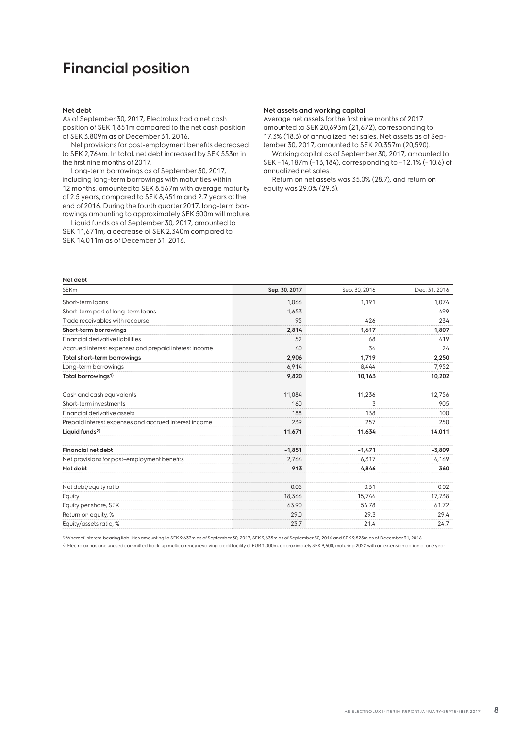### **Financial position**

### **Net debt**

As of September 30, 2017, Electrolux had a net cash position of SEK 1,851m compared to the net cash position of SEK 3,809m as of December 31, 2016.

Net provisions for post-employment benefits decreased to SEK 2,764m. In total, net debt increased by SEK 553m in the first nine months of 2017.

Long-term borrowings as of September 30, 2017, including long-term borrowings with maturities within 12 months, amounted to SEK 8,567m with average maturity of 2.5 years, compared to SEK 8,451m and 2.7 years at the end of 2016. During the fourth quarter 2017, long-term borrowings amounting to approximately SEK 500m will mature.

Liquid funds as of September 30, 2017, amounted to SEK 11,671m, a decrease of SEK 2,340m compared to SEK 14,011m as of December 31, 2016.

### **Net assets and working capital**

Average net assets for the first nine months of 2017 amounted to SEK 20,693m (21,672), corresponding to 17.3% (18.3) of annualized net sales. Net assets as of September 30, 2017, amounted to SEK 20,357m (20,590).

Working capital as of September 30, 2017, amounted to SEK –14,187m (–13,184), corresponding to –12.1% (–10.6) of annualized net sales.

Return on net assets was 35.0% (28.7), and return on equity was 29.0% (29.3).

| Net debt                                              |               |               |               |
|-------------------------------------------------------|---------------|---------------|---------------|
| <b>SEKm</b>                                           | Sep. 30, 2017 | Sep. 30, 2016 | Dec. 31, 2016 |
| Short-term loans                                      | 1,066         | 1,191         | 1,074         |
| Short-term part of long-term loans                    | 1.653         | -             | 499           |
| Trade receivables with recourse                       | 95            | 426           | 234           |
| Short-term borrowings                                 | 2,814         | 1,617         | 1,807         |
| Financial derivative liabilities                      | 52            | 68            | 419           |
| Accrued interest expenses and prepaid interest income | 40            | 34            | 24            |
| Total short-term borrowings                           | 2,906         | 1,719         | 2,250         |
| Long-term borrowings                                  | 6,914         | 8.444         | 7,952         |
| Total borrowings <sup>1)</sup>                        | 9,820         | 10,163        | 10,202        |
| Cash and cash equivalents                             | 11,084        | 11,236        | 12,756        |
| Short-term investments                                | 160           | 3             | 905           |
| Financial derivative assets                           | 188           | 138           | 100           |
| Prepaid interest expenses and accrued interest income | 239           | 257           | 250           |
| Liquid funds <sup>2)</sup>                            | 11,671        | 11,634        | 14,011        |
| <b>Financial net debt</b>                             | $-1,851$      | $-1,471$      | $-3,809$      |
| Net provisions for post-employment benefits           | 2.764         | 6.317         | 4,169         |
| Net debt                                              | 913           | 4.846         | 360           |
| Net debt/equity ratio                                 | 0.05          | 0.31          | 0.02          |
| Equity                                                | 18,366        | 15,744        | 17,738        |
| Equity per share, SEK                                 | 63.90         | 54.78         | 61.72         |
| Return on equity, %                                   | 29.0          | 29.3          | 29.4          |
| Equity/assets ratio, %                                | 23.7          | 21.4          | 24.7          |

1)Whereof interest-bearing liabilities amounting to SEK 9,633m as of September 30, 2017, SEK 9,635m as of September 30, 2016 and SEK 9,525m as of December 31, 2016.

<sup>2)</sup> Electrolux has one unused committed back-up multicurrency revolving credit facility of EUR 1,000m, approximately SEK 9,600, maturing 2022 with an extension option of one year.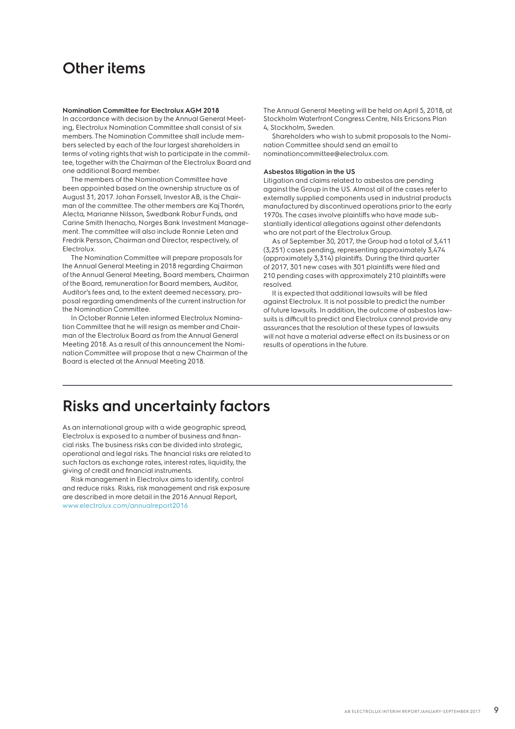### **Other items**

### **Nomination Committee for Electrolux AGM 2018**

In accordance with decision by the Annual General Meeting, Electrolux Nomination Committee shall consist of six members. The Nomination Committee shall include members selected by each of the four largest shareholders in terms of voting rights that wish to participate in the committee, together with the Chairman of the Electrolux Board and one additional Board member.

The members of the Nomination Committee have been appointed based on the ownership structure as of August 31, 2017. Johan Forssell, Investor AB, is the Chairman of the committee. The other members are Kaj Thorén, Alecta, Marianne Nilsson, Swedbank Robur Funds, and Carine Smith Ihenacho, Norges Bank Investment Management. The committee will also include Ronnie Leten and Fredrik Persson, Chairman and Director, respectively, of Electrolux.

The Nomination Committee will prepare proposals for the Annual General Meeting in 2018 regarding Chairman of the Annual General Meeting, Board members, Chairman of the Board, remuneration for Board members, Auditor, Auditor's fees and, to the extent deemed necessary, proposal regarding amendments of the current instruction for the Nomination Committee.

In October Ronnie Leten informed Electrolux Nomination Committee that he will resign as member and Chairman of the Electrolux Board as from the Annual General Meeting 2018. As a result of this announcement the Nomination Committee will propose that a new Chairman of the Board is elected at the Annual Meeting 2018.

The Annual General Meeting will be held on April 5, 2018, at Stockholm Waterfront Congress Centre, Nils Ericsons Plan 4, Stockholm, Sweden.

Shareholders who wish to submit proposals to the Nomination Committee should send an email to nominationcommittee@electrolux.com.

### **Asbestos litigation in the US**

Litigation and claims related to asbestos are pending against the Group in the US. Almost all of the cases refer to externally supplied components used in industrial products manufactured by discontinued operations prior to the early 1970s. The cases involve plaintiffs who have made substantially identical allegations against other defendants who are not part of the Electrolux Group.

As of September 30, 2017, the Group had a total of 3,411 (3,251) cases pending, representing approximately 3,474 (approximately 3,314) plaintiffs. During the third quarter of 2017, 301 new cases with 301 plaintiffs were filed and 210 pending cases with approximately 210 plaintiffs were resolved.

It is expected that additional lawsuits will be filed against Electrolux. It is not possible to predict the number of future lawsuits. In addition, the outcome of asbestos lawsuits is difficult to predict and Electrolux cannot provide any assurances that the resolution of these types of lawsuits will not have a material adverse effect on its business or on results of operations in the future.

### **Risks and uncertainty factors**

As an international group with a wide geographic spread, Electrolux is exposed to a number of business and financial risks. The business risks can be divided into strategic, operational and legal risks. The financial risks are related to such factors as exchange rates, interest rates, liquidity, the giving of credit and financial instruments.

Risk management in Electrolux aims to identify, control and reduce risks. Risks, risk management and risk exposure are described in more detail in the 2016 Annual Report, www.electrolux.com/annualreport2016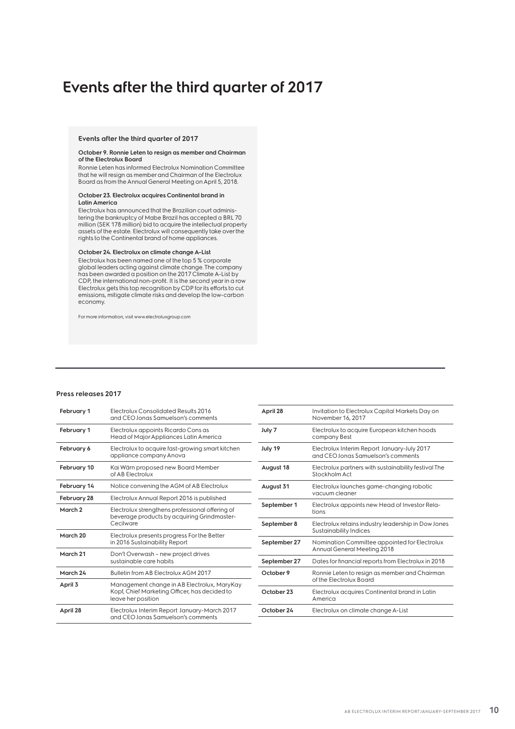### **Events after the third quarter of 2017**

### **Events after the third quarter of 2017**

#### **October 9. Ronnie Leten to resign as member and Chairman of the Electrolux Board**

Ronnie Leten has informed Electrolux Nomination Committee that he will resign as member and Chairman of the Electrolux Board as from the Annual General Meeting on April 5, 2018.

#### **October 23. Electrolux acquires Continental brand in Latin America**

Electrolux has announced that the Brazilian court administering the bankruptcy of Mabe Brazil has accepted a BRL 70 million (SEK 178 million) bid to acquire the intellectual property assets of the estate. Electrolux will consequently take over the rights to the Continental brand of home appliances.

#### **October 24. Electrolux on climate change A-List**

Electrolux has been named one of the top 5 % corporate global leaders acting against climate change. The company has been awarded a position on the 2017 Climate A-List by CDP, the international non-profit. It is the second year in a row Electrolux gets this top recognition by CDP for its efforts to cut emissions, mitigate climate risks and develop the low-carbon economy.

For more information, visit www.electroluxgroup.com

### **Press releases 2017**

| February 1         | Electrolux Consolidated Results 2016<br>and CEO Jonas Samuelson's comments                     | April 28     | Invitation to Electrolux Capital Markets Day on<br>November 16, 2017              |
|--------------------|------------------------------------------------------------------------------------------------|--------------|-----------------------------------------------------------------------------------|
| February 1         | Electrolux appoints Ricardo Cons as<br>Head of Major Appliances Latin America                  | July 7       | Electrolux to acquire European kitchen hoods<br>company Best                      |
| February 6         | Electrolux to acquire fast-growing smart kitchen<br>appliance company Anova                    | July 19      | Electrolux Interim Report January-July 2017<br>and CEO Jonas Samuelson's comments |
| February 10        | Kai Wärn proposed new Board Member<br>of AB Electrolux                                         | August 18    | Electrolux partners with sustainability festival The<br>Stockholm Act             |
| February 14        | Notice convening the AGM of AB Electrolux                                                      | August 31    | Electrolux launches game-changing robotic<br>vacuum cleaner                       |
| February 28        | Electrolux Annual Report 2016 is published                                                     |              |                                                                                   |
| March <sub>2</sub> | Electrolux strengthens professional offering of<br>beverage products by acquiring Grindmaster- |              | Electrolux appoints new Head of Investor Rela-<br>tions                           |
|                    | Cecilware                                                                                      | September 8  | Electrolux retains industry leadership in Dow Jones<br>Sustainability Indices     |
| March 20           | Electrolux presents progress For the Better                                                    |              |                                                                                   |
|                    | in 2016 Sustainability Report                                                                  | September 27 | Nomination Committee appointed for Electrolux<br>Annual General Meeting 2018      |
| March 21           | Don't Overwash - new project drives                                                            |              |                                                                                   |
|                    | sustainable care habits                                                                        | September 27 | Dates for financial reports from Electrolux in 2018                               |
| March 24           | Bulletin from AB Electrolux AGM 2017                                                           | October 9    | Ronnie Leten to resign as member and Chairman                                     |
| April 3            | Management change in AB Electrolux, MaryKay                                                    |              | of the Electrolux Board                                                           |
|                    | Kopf, Chief Marketing Officer, has decided to<br>leave her position                            | October 23   | Electrolux acquires Continental brand in Latin<br>America                         |
| April 28           | Electrolux Interim Report January-March 2017<br>and CEO Jonas Samuelson's comments             | October 24   | Electrolux on climate change A-List                                               |
|                    |                                                                                                |              |                                                                                   |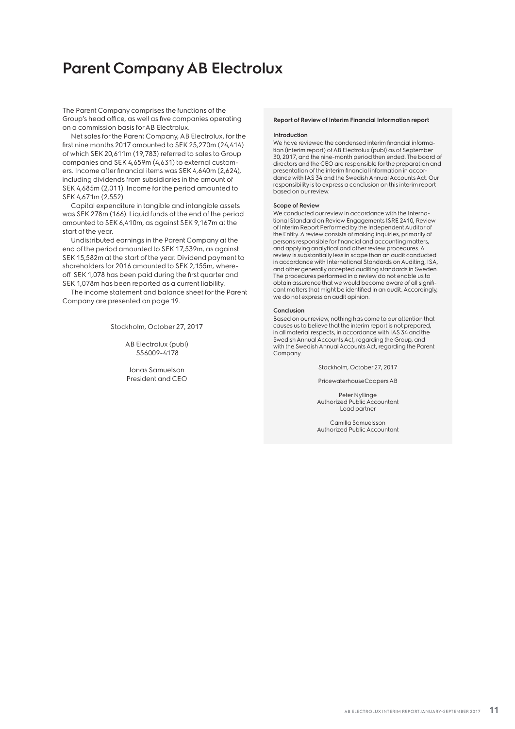### **Parent Company AB Electrolux**

The Parent Company comprises the functions of the Group's head office, as well as five companies operating on a commission basis for AB Electrolux.

Net sales for the Parent Company, AB Electrolux, for the first nine months 2017 amounted to SEK 25,270m (24,414) of which SEK 20,611m (19,783) referred to sales to Group companies and SEK 4,659m (4,631) to external customers. Income after financial items was SEK 4,640m (2,624), including dividends from subsidiaries in the amount of SEK 4,685m (2,011). Income for the period amounted to SEK 4,671m (2,552).

Capital expenditure in tangible and intangible assets was SEK 278m (166). Liquid funds at the end of the period amounted to SEK 6,410m, as against SEK 9,167m at the start of the year.

Undistributed earnings in the Parent Company at the end of the period amounted to SEK 17,539m, as against SEK 15,582m at the start of the year. Dividend payment to shareholders for 2016 amounted to SEK 2,155m, whereoff SEK 1,078 has been paid during the first quarter and SEK 1,078m has been reported as a current liability.

The income statement and balance sheet for the Parent Company are presented on page 19.

Stockholm, October 27, 2017

AB Electrolux (publ) 556009-4178

Jonas Samuelson President and CEO

### **Report of Review of Interim Financial Information report**

#### **Introduction**

We have reviewed the condensed interim financial information (interim report) of AB Electrolux (publ) as of September 30, 2017, and the nine-month period then ended. The board of directors and the CEO are responsible for the preparation and presentation of the interim financial information in accordance with IAS 34 and the Swedish Annual Accounts Act. Our responsibility is to express a conclusion on this interim report based on our review.

#### **Scope of Review**

We conducted our review in accordance with the International Standard on Review Engagements ISRE 2410, Review of Interim Report Performed by the Independent Auditor of the Entity. A review consists of making inquiries, primarily of persons responsible for financial and accounting matters, and applying analytical and other review procedures. A review is substantially less in scope than an audit conducted in accordance with International Standards on Auditing, ISA, and other generally accepted auditing standards in Sweden. The procedures performed in a review do not enable us to obtain assurance that we would become aware of all significant matters that might be identified in an audit. Accordingly, we do not express an audit opinion.

#### **Conclusion**

Based on our review, nothing has come to our attention that causes us to believe that the interim report is not prepared, in all material respects, in accordance with IAS 34 and the Swedish Annual Accounts Act, regarding the Group, and with the Swedish Annual Accounts Act, regarding the Parent Company.

Stockholm, October 27, 2017

PricewaterhouseCoopers AB

Peter Nyllinge Authorized Public Accountant Lead partner

Camilla Samuelsson Authorized Public Accountant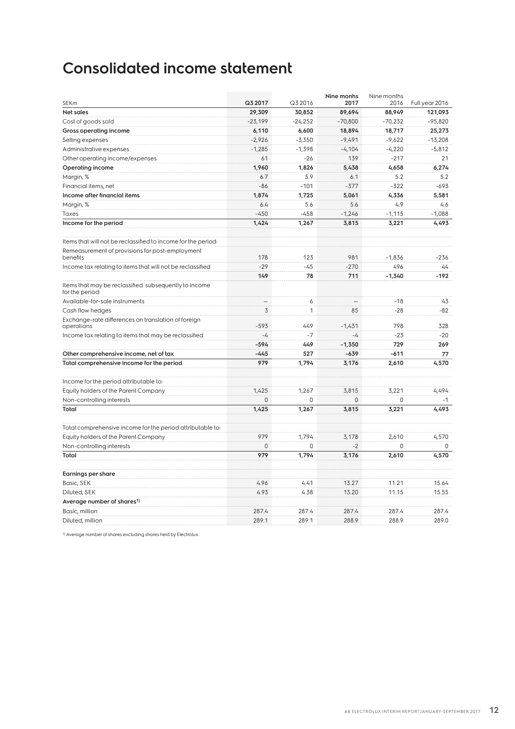### **Consolidated income statement**

| SEKm                                                                     | Q3 2017                  | Q3 2016   | Nine monhs<br>2017       | Nine months<br>2016 | Full year 2016 |
|--------------------------------------------------------------------------|--------------------------|-----------|--------------------------|---------------------|----------------|
| <b>Net sales</b>                                                         | 29,309                   | 30,852    | 89,694                   | 88,949              | 121,093        |
| Cost of goods sold                                                       | $-23,199$                | $-24,252$ | $-70,800$                | $-70,232$           | $-95,820$      |
| Gross operating income                                                   | 6,110                    | 6,600     | 18,894                   | 18,717              | 25,273         |
| Selling expenses                                                         | $-2,926$                 | $-3,350$  | $-9,491$                 | $-9,622$            | $-13,208$      |
| Administrative expenses                                                  | $-1,285$                 | $-1,398$  | $-4,104$                 | $-4,220$            | $-5,812$       |
| Other operating income/expenses                                          | 61                       | -26       | 139                      | $-217$              | 21             |
| <b>Operating income</b>                                                  | 1,960                    | 1,826     | 5,438                    | 4,658               | 6,274          |
| Margin, %                                                                | 6.7                      | 5.9       | 6.1                      | 5.2                 | 5.2            |
| Financial items, net                                                     | $-86$                    | $-101$    | $-377$                   | $-322$              | $-693$         |
| Income after financial items                                             | 1.874                    | 1,725     | 5,061                    | 4,336               | 5,581          |
| Margin, %                                                                | 6.4                      | 5.6       | 5.6                      | 4.9                 | 4.6            |
| Taxes                                                                    | $-450$                   | $-458$    | $-1,246$                 | $-1,115$            | $-1,088$       |
| Income for the period                                                    | 1,424                    | 1,267     | 3,815                    | 3,221               | 4,493          |
| Items that will not be reclassified to income for the period:            |                          |           |                          |                     |                |
| Remeasurement of provisions for post-employment                          |                          |           |                          |                     |                |
| benefits                                                                 | 178                      | 123       | 981                      | $-1,836$            | $-236$         |
| Income tax relating to items that will not be reclassified               | $-29$                    | $-45$     | $-270$                   | 496                 | 44             |
|                                                                          | 149                      | 78        | 711                      | $-1,340$            | $-192$         |
| Items that may be reclassified subsequently to income<br>for the period: |                          |           |                          |                     |                |
| Available-for-sale instruments                                           | $\overline{\phantom{0}}$ | 6         | $\overline{\phantom{0}}$ | $-18$               | 43             |
| Cash flow hedges                                                         | 3                        | 1         | 85                       | $-28$               | $-82$          |
| Exchange-rate differences on translation of foreign<br>operations        | $-593$                   | 449       | $-1.431$                 | 798                 | 328            |
| Income tax relating to items that may be reclassified                    | $-4$                     | $-7$      | $-4$                     | $-23$               | $-20$          |
|                                                                          | $-594$                   | 449       | $-1,350$                 | 729                 | 269            |
| Other comprehensive income, net of tax                                   | $-445$                   | 527       | $-639$                   | $-611$              | 77             |
| Total comprehensive income for the period                                | 979                      | 1,794     | 3,176                    | 2,610               | 4,570          |
| Income for the period attributable to:                                   |                          |           |                          |                     |                |
| Equity holders of the Parent Company                                     | 1.425                    | 1.267     | 3.815                    | 3.221               | 4,494          |
| Non-controlling interests                                                | $\Omega$                 | $\Omega$  | $\mathbf 0$              | $\Omega$            | $-1$           |
| Total                                                                    | 1,425                    | 1,267     | 3,815                    | 3,221               | 4,493          |
| Total comprehensive income for the period attributable to:               |                          |           |                          |                     |                |
| Equity holders of the Parent Company                                     | 979                      | 1,794     | 3,178                    | 2,610               | 4,570          |
| Non-controlling interests                                                | $\mathbf 0$              | $\Omega$  | $-2$                     | 0                   | 0              |
| Total                                                                    | 979                      | 1,794     | 3,176                    | 2,610               | 4,570          |
| <b>Earnings per share</b>                                                |                          |           |                          |                     |                |
| Basic, SEK                                                               | 4.96                     | 4.41      | 13.27                    | 11.21               | 15.64          |
| Diluted, SEK                                                             | 4.93                     | 4.38      | 13.20                    | 11.15               | 15.55          |
| Average number of shares <sup>1)</sup>                                   |                          |           |                          |                     |                |
| Basic, million                                                           | 287.4                    | 287.4     | 287.4                    | 287.4               | 287.4          |
| Diluted, million                                                         | 289.1                    | 289.1     | 288.9                    | 288.9               | 289.0          |

1) Average number of shares excluding shares held by Electrolux.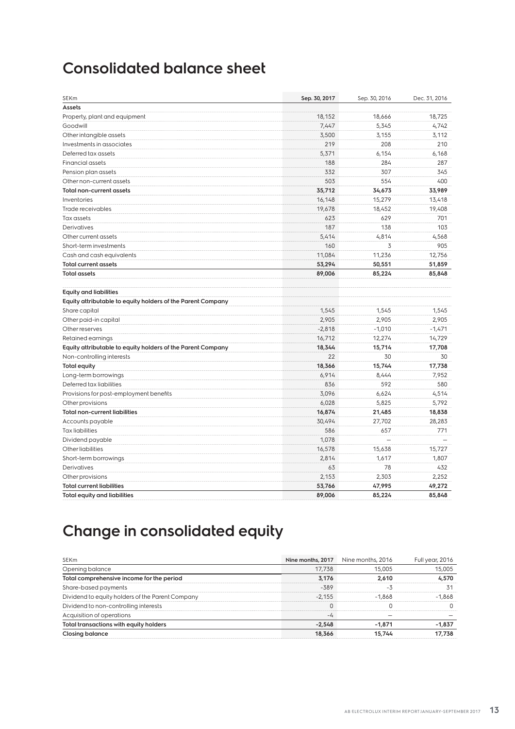### **Consolidated balance sheet**

| SEKm                                                        | Sep. 30, 2017 | Sep. 30, 2016 | Dec. 31, 2016 |
|-------------------------------------------------------------|---------------|---------------|---------------|
| Assets                                                      |               |               |               |
| Property, plant and equipment                               | 18,152        | 18,666        | 18,725        |
| Goodwill                                                    | 7,447         | 5,345         | 4,742         |
| Other intangible assets                                     | 3,500         | 3,155         | 3,112         |
| Investments in associates                                   | 219           | 208           | 210           |
| Deferred tax assets                                         | 5,371         | 6,154         | 6,168         |
| <b>Financial assets</b>                                     | 188           | 284           | 287           |
| Pension plan assets                                         | 332           | 307           | 345           |
| Other non-current assets                                    | 503           | 554           | 400           |
| <b>Total non-current assets</b>                             | 35,712        | 34,673        | 33,989        |
| Inventories                                                 | 16,148        | 15,279        | 13,418        |
| Trade receivables                                           | 19,678        | 18,452        | 19,408        |
| Tax assets                                                  | 623           | 629           | 701           |
| Derivatives                                                 | 187           | 138           | 103           |
| Other current assets                                        | 5,414         | 4,814         | 4,568         |
| Short-term investments                                      | 160           | 3             | 905           |
| Cash and cash equivalents                                   | 11,084        | 11,236        | 12,756        |
| <b>Total current assets</b>                                 | 53,294        | 50,551        | 51,859        |
| <b>Total assets</b>                                         | 89,006        | 85,224        | 85,848        |
| <b>Equity and liabilities</b>                               |               |               |               |
| Equity attributable to equity holders of the Parent Company |               |               |               |
| Share capital                                               | 1,545         | 1,545         | 1,545         |
| Other paid-in capital                                       | 2,905         | 2,905         | 2,905         |
| Other reserves                                              | $-2,818$      | $-1,010$      | $-1,471$      |
| Retained earnings                                           | 16,712        | 12,274        | 14,729        |
| Equity attributable to equity holders of the Parent Company | 18,344        | 15,714        | 17,708        |
| Non-controlling interests                                   | 22            | 30            | 30            |
| <b>Total equity</b>                                         | 18,366        | 15,744        | 17,738        |
| Long-term borrowings                                        | 6,914         | 8,444         | 7,952         |
| Deferred tax liabilities                                    | 836           | 592           | 580           |
| Provisions for post-employment benefits                     | 3,096         | 6,624         | 4,514         |
| Other provisions                                            | 6,028         | 5,825         | 5,792         |
| <b>Total non-current liabilities</b>                        | 16,874        | 21,485        | 18,838        |
| Accounts payable                                            | 30,494        | 27,702        | 28,283        |
| <b>Tax liabilities</b>                                      | 586           | 657           | 771           |
| Dividend payable                                            | 1,078         |               |               |
| Other liabilities                                           | 16,578        | 15,638        | 15,727        |
| Short-term borrowings                                       | 2,814         | 1,617         | 1,807         |
| Derivatives                                                 | 63            | 78            | 432           |
| Other provisions                                            | 2,153         | 2,303         | 2,252         |
| <b>Total current liabilities</b>                            | 53,766        | 47,995        | 49,272        |
| Total equity and liabilities                                | 89,006        | 85,224        | 85,848        |

## **Change in consolidated equity**

| <b>SEKm</b>                                      | Nine months, 2017 | Nine months, 2016 | Full year, 2016 |
|--------------------------------------------------|-------------------|-------------------|-----------------|
| Opening balance                                  | 17.738            | 15,005            | 15,005          |
| Total comprehensive income for the period        | 3.176             | 2.610             | 4.570           |
| Share-based payments                             | $-389$            | -3                |                 |
| Dividend to equity holders of the Parent Company | $-2.155$          | $-1.868$          | $-1.868$        |
| Dividend to non-controlling interests            |                   |                   |                 |
| Acquisition of operations                        | $-L$              |                   |                 |
| Total transactions with equity holders           | $-2.548$          | $-1.871$          | $-1,837$        |
| <b>Closing balance</b>                           | 18,366            | 15.744            | 17.738          |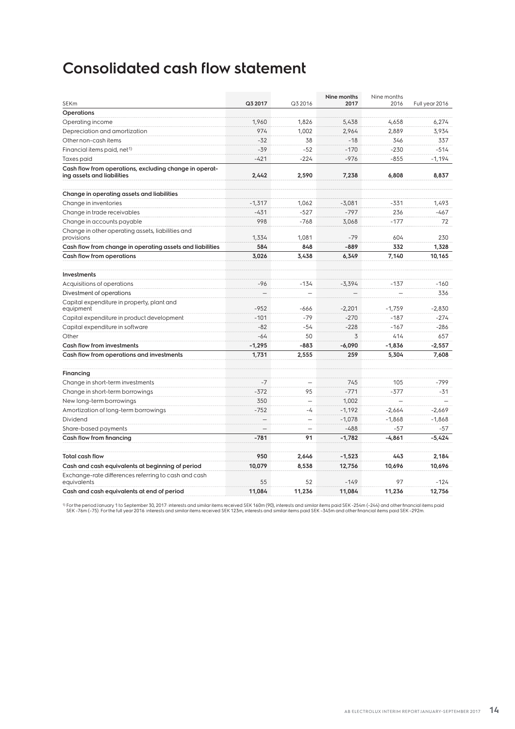### **Consolidated cash flow statement**

| <b>SEKm</b>                                                                          | Q3 2017  | Q3 2016                  | Nine months<br>2017 | Nine months<br>2016 | Full year 2016 |
|--------------------------------------------------------------------------------------|----------|--------------------------|---------------------|---------------------|----------------|
| <b>Operations</b>                                                                    |          |                          |                     |                     |                |
| Operating income                                                                     | 1.960    | 1.826                    | 5,438               | 4,658               | 6.274          |
| Depreciation and amortization                                                        | 974      | 1,002                    | 2,964               | 2,889               | 3,934          |
| Other non-cash items                                                                 | $-32$    | 38                       | $-18$               | 346                 | 337            |
| Financial items paid, net <sup>1)</sup>                                              | $-39$    | $-52$                    | $-170$              | $-230$              | $-514$         |
| Taxes paid                                                                           | $-421$   | $-224$                   | $-976$              | $-855$              | $-1,194$       |
| Cash flow from operations, excluding change in operat-<br>ing assets and liabilities | 2,442    | 2,590                    | 7,238               | 6,808               | 8,837          |
| Change in operating assets and liabilities                                           |          |                          |                     |                     |                |
| Change in inventories                                                                | $-1.317$ | 1.062                    | $-3,081$            | $-331$              | 1.493          |
| Change in trade receivables                                                          | $-431$   | $-527$                   | $-797$              | 236                 | $-467$         |
| Change in accounts payable                                                           | 998      | $-768$                   | 3,068               | $-177$              | 72             |
| Change in other operating assets, liabilities and<br>provisions                      | 1.334    | 1.081                    | $-79$               | 604                 | 230            |
| Cash flow from change in operating assets and liabilities                            | 584      | 848                      | $-889$              | 332                 | 1,328          |
| Cash flow from operations                                                            | 3,026    | 3,438                    | 6,349               | 7,140               | 10,165         |
| Investments                                                                          |          |                          |                     |                     |                |
| Acquisitions of operations                                                           | $-96$    | $-134$                   | $-3,394$            | $-137$              | $-160$         |
| Divestment of operations                                                             |          |                          |                     |                     | 336            |
| Capital expenditure in property, plant and<br>equipment                              | $-952$   | -666                     | $-2.201$            | $-1.759$            | $-2.830$       |
| Capital expenditure in product development                                           | $-101$   | $-79$                    | $-270$              | $-187$              | $-274$         |
| Capital expenditure in software                                                      | $-82$    | $-54$                    | $-228$              | $-167$              | $-286$         |
| Other                                                                                | $-64$    | 50                       | 3                   | 414                 | 657            |
| <b>Cash flow from investments</b>                                                    | $-1,295$ | $-883$                   | $-6,090$            | $-1,836$            | $-2,557$       |
| Cash flow from operations and investments                                            | 1,731    | 2,555                    | 259                 | 5,304               | 7,608          |
| Financing                                                                            |          |                          |                     |                     |                |
| Change in short-term investments                                                     | $-7$     |                          | 745                 | 105                 | $-799$         |
| Change in short-term borrowings                                                      | $-372$   | 95                       | $-771$              | $-377$              | -31            |
| New long-term borrowings                                                             | 350      | L.                       | 1,002               |                     |                |
| Amortization of long-term borrowings                                                 | $-752$   | $-4$                     | $-1.192$            | $-2.664$            | $-2.669$       |
| Dividend                                                                             | $\equiv$ | $\overline{\phantom{0}}$ | $-1.078$            | $-1.868$            | $-1.868$       |
| Share-based payments                                                                 |          |                          | $-488$              | $-57$               | -57            |
| Cash flow from financing                                                             | $-781$   | 91                       | $-1,782$            | $-4,861$            | $-5,424$       |
|                                                                                      |          |                          |                     |                     |                |
| <b>Total cash flow</b>                                                               | 950      | 2,646                    | $-1,523$            | 443                 | 2,184          |
| Cash and cash equivalents at beginning of period                                     | 10,079   | 8,538                    | 12,756              | 10,696              | 10,696         |
| Exchange-rate differences referring to cash and cash<br>equivalents                  | 55       | 52                       | $-149$              | 97                  | $-124$         |
| Cash and cash equivalents at end of period                                           | 11.084   | 11.236                   | 11.084              | 11.236              | 12.756         |

<sup>1)</sup> For the period January 1 to September 30, 2017: interests and similar items received SEK 160m (90), interests and similar items paid SEK -254m (–244) and other financial items paid<br>SEK -76m (–75). For the full year 20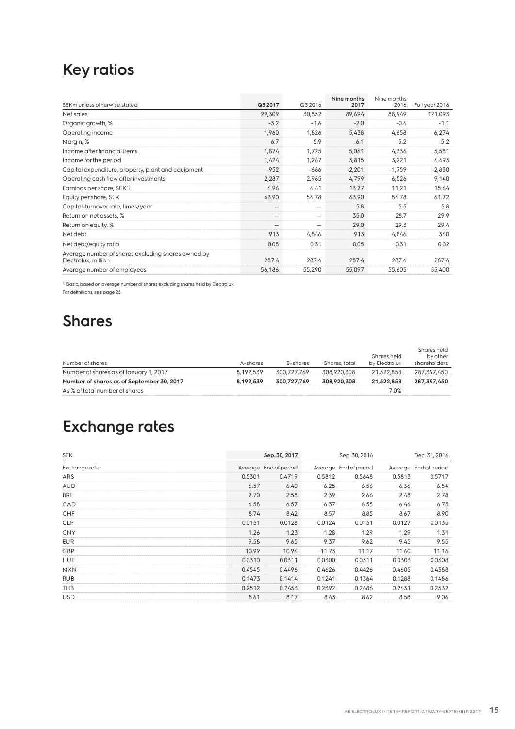### **Key ratios**

| SEKm unless otherwise stated                                              | Q3 2017 | Q3 2016 | Nine months<br>2017 | Nine months<br>2016 | Full year 2016 |
|---------------------------------------------------------------------------|---------|---------|---------------------|---------------------|----------------|
| Net sales                                                                 | 29,309  | 30,852  | 89,694              | 88,949              | 121,093        |
| Organic growth, %                                                         | $-3.2$  | $-1.6$  | $-2.0$              | $-0.4$              | $-1.1$         |
| Operating income                                                          | 1,960   | 1,826   | 5,438               | 4,658               | 6,274          |
| Margin, %                                                                 | 6.7     | 5.9     | 6.1                 | 5.2                 | 5.2            |
| Income after financial items                                              | 1,874   | 1,725   | 5,061               | 4,336               | 5,581          |
| Income for the period                                                     | 1,424   | 1,267   | 3,815               | 3,221               | 4,493          |
| Capital expenditure, property, plant and equipment                        | $-952$  | $-666$  | $-2,201$            | $-1,759$            | $-2,830$       |
| Operating cash flow after investments                                     | 2,287   | 2,965   | 4,799               | 6,526               | 9,140          |
| Earnings per share, SEK <sup>1)</sup>                                     | 4.96    | 4.41    | 13.27               | 11.21               | 15.64          |
| Equity per share, SEK                                                     | 63.90   | 54.78   | 63.90               | 54.78               | 61.72          |
| Capital-turnover rate, times/year                                         |         |         | 5.8                 | 5.5                 | 5.8            |
| Return on net assets, %                                                   |         |         | 35.0                | 28.7                | 29.9           |
| Return on equity, %                                                       |         |         | 29.0                | 29.3                | 29.4           |
| Net debt                                                                  | 913     | 4,846   | 913                 | 4,846               | 360            |
| Net debt/equity ratio                                                     | 0.05    | 0.31    | 0.05                | 0.31                | 0.02           |
| Average number of shares excluding shares owned by<br>Electrolux, million | 287.4   | 287.4   | 287.4               | 287.4               | 287.4          |
| Average number of employees                                               | 56,186  | 55,290  | 55,097              | 55,605              | 55,400         |

1) Basic, based on average number of shares excluding shares held by Electrolux.

For definitions, see page 25.

### **Shares**

| Number of shares                          | A-shares  | B-shares    | Shares, total | Shares held<br>by Electrolux | Shares held<br>by other<br>shareholders |
|-------------------------------------------|-----------|-------------|---------------|------------------------------|-----------------------------------------|
| Number of shares as of January 1, 2017    | 8.192.539 | 300.727.769 | 308,920,308   | 21,522,858                   | 287,397,450                             |
| Number of shares as of September 30, 2017 | 8.192.539 | 300.727.769 | 308,920,308   | 21.522.858                   | 287.397.450                             |
| As % of total number of shares            |           |             |               | 7.0%                         |                                         |

## **Exchange rates**

| SEK           |        | Sep. 30, 2017         |        | Sep. 30, 2016         | Dec. 31, 2016 |                       |  |
|---------------|--------|-----------------------|--------|-----------------------|---------------|-----------------------|--|
| Exchange rate |        | Average End of period |        | Average End of period |               | Average End of period |  |
| ARS           | 0.5301 | 0.4719                | 0.5812 | 0.5648                | 0.5813        | 0.5717                |  |
| <b>AUD</b>    | 6.57   | 6.40                  | 6.25   | 6.56                  | 6.36          | 6.54                  |  |
| BRL           | 2.70   | 2.58                  | 2.39   | 2.66                  | 2.48          | 2.78                  |  |
| CAD           | 6.58   | 6.57                  | 6.37   | 6.55                  | 6.46          | 6.73                  |  |
| <b>CHF</b>    | 8.74   | 8.42                  | 8.57   | 8.85                  | 8.67          | 8.90                  |  |
| <b>CLP</b>    | 0.0131 | 0.0128                | 0.0124 | 0.0131                | 0.0127        | 0.0135                |  |
| <b>CNY</b>    | 1.26   | 1.23                  | 1.28   | 1.29                  | 1.29          | 1.31                  |  |
| <b>EUR</b>    | 9.58   | 9.65                  | 9.37   | 9.62                  | 9.45          | 9.55                  |  |
| GBP           | 10.99  | 10.94                 | 11.73  | 11.17                 | 11.60         | 11.16                 |  |
| <b>HUF</b>    | 0.0310 | 0.0311                | 0.0300 | 0.0311                | 0.0303        | 0.0308                |  |
| <b>MXN</b>    | 0.4545 | 0.4496                | 0.4626 | 0.4426                | 0.4605        | 0.4388                |  |
| <b>RUB</b>    | 0.1473 | 0.1414                | 0.1241 | 0.1364                | 0.1288        | 0.1486                |  |
| THB           | 0.2512 | 0.2453                | 0.2392 | 0.2486                | 0.2431        | 0.2532                |  |
| <b>USD</b>    | 8.61   | 8.17                  | 8.43   | 8.62                  | 8.58          | 9.06                  |  |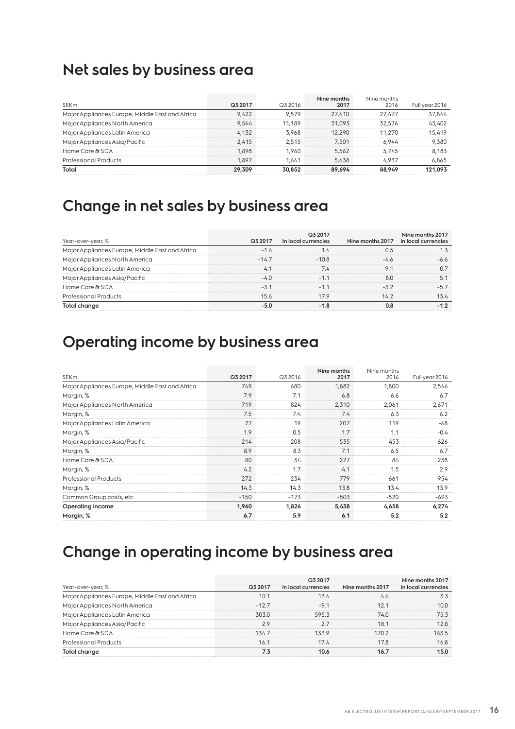### **Net sales by business area**

|                                                 |         |         | Nine months | Nine months |                |
|-------------------------------------------------|---------|---------|-------------|-------------|----------------|
| <b>SEKm</b>                                     | Q3 2017 | Q3 2016 | 2017        | 2016        | Full year 2016 |
| Major Appliances Europe, Middle East and Africa | 9.422   | 9.579   | 27,610      | 27.477      | 37,844         |
| Major Appliances North America                  | 9.544   | 11.189  | 31.093      | 32,576      | 43,402         |
| Major Appliances Latin America                  | 4.132   | 3.968   | 12,290      | 11,270      | 15,419         |
| Major Appliances Asia/Pacific                   | 2.415   | 2.515   | 7.501       | 6.944       | 9,380          |
| Home Care & SDA                                 | 1.898   | 1.960   | 5.562       | 5.745       | 8.183          |
| <b>Professional Products</b>                    | 1.897   | 1.641   | 5.638       | 4.937       | 6,865          |
| Total                                           | 29,309  | 30.852  | 89.694      | 88.949      | 121.093        |

### **Change in net sales by business area**

| Year-over-year, %                               | Q3 2017 | Q3 2017<br>In local currencies | Nine months 2017 | Nine months 2017<br>in local currencies |
|-------------------------------------------------|---------|--------------------------------|------------------|-----------------------------------------|
| Major Appliances Europe, Middle East and Africa | $-1.6$  | 1.4                            | 0.5              |                                         |
| Major Appliances North America                  | $-147$  | $-108$                         | -46              | $-6.6$                                  |
| Major Appliances Latin America                  | 4.1     | 7.4                            | 9.1              | 07                                      |
| Major Appliances Asia/Pacific                   | $-40$   | $-11$                          | 8.0              | 5.1                                     |
| Home Care & SDA                                 | $-3.1$  | $-11$                          | $-32$            | $-5.7$                                  |
| <b>Professional Products</b>                    | 15.6    | 17.9                           | 142              | 13.4                                    |
| Total change                                    | $-5.0$  | $-1.8$                         | 0.8              | $-1.2$                                  |

### **Operating income by business area**

| SEKm                                            | Q3 2017 | Q3 2016 | Nine months<br>2017 | Nine months<br>2016 | Full year 2016 |
|-------------------------------------------------|---------|---------|---------------------|---------------------|----------------|
| Major Appliances Europe, Middle East and Africa | 749     | 680     | 1,882               | 1,800               | 2,546          |
| Margin, %                                       | 7.9     | 7.1     | 6.8                 | 6.6                 | 6.7            |
| Major Appliances North America                  | 719     | 824     | 2,310               | 2,061               | 2,671          |
| Margin, %                                       | 7.5     | 7.4     | 7.4                 | 6.3                 | 6.2            |
| Major Appliances Latin America                  | 77      | 19      | 207                 | 119                 | -68            |
| Margin, %                                       | 1.9     | 0.5     | 1.7                 | 1.1                 | $-0.4$         |
| Major Appliances Asia/Pacific                   | 214     | 208     | 535                 | 453                 | 626            |
| Margin, %                                       | 8.9     | 8.3     | 7.1                 | 6.5                 | 6.7            |
| Home Care & SDA                                 | 80      | 34      | 227                 | 84                  | 238            |
| Margin, %                                       | 4.2     | 1.7     | 4.1                 | 1.5                 | 2.9            |
| <b>Professional Products</b>                    | 272     | 234     | 779                 | 661                 | 954            |
| Margin, %                                       | 14.3    | 14.3    | 13.8                | 13.4                | 13.9           |
| Common Group costs, etc.                        | $-150$  | $-173$  | $-503$              | $-520$              | -693           |
| Operating income                                | 1,960   | 1,826   | 5,438               | 4,658               | 6,274          |
| Margin, %                                       | 6.7     | 5.9     | 6.1                 | 5.2                 | 5.2            |

### **Change in operating income by business area**

| Year-over-year, %                               | Q3 2017 | Q3 2017<br>in local currencies | Nine months 2017 | Nine months 2017<br>in local currencies |
|-------------------------------------------------|---------|--------------------------------|------------------|-----------------------------------------|
| Major Appliances Europe, Middle East and Africa | 10.1    | 13.4                           | 4.6              | 3.3                                     |
| Major Appliances North America                  | $-127$  | $-91$                          | 121              | 10.0                                    |
| Major Appliances Latin America                  | 303.0   | 595.3                          | 74.0             | 75.3                                    |
| Major Appliances Asia/Pacific                   | 2.9     | 2.7                            | 18.1             | 12.8                                    |
| Home Care & SDA                                 | 134.7   | 1339                           | 1702             | 163.5                                   |
| <b>Professional Products</b>                    | 16.1    | 17.4                           | 17.8             | 16.8                                    |
| Total change                                    | 7.3     | 10.6                           | 16.7             | 15.0                                    |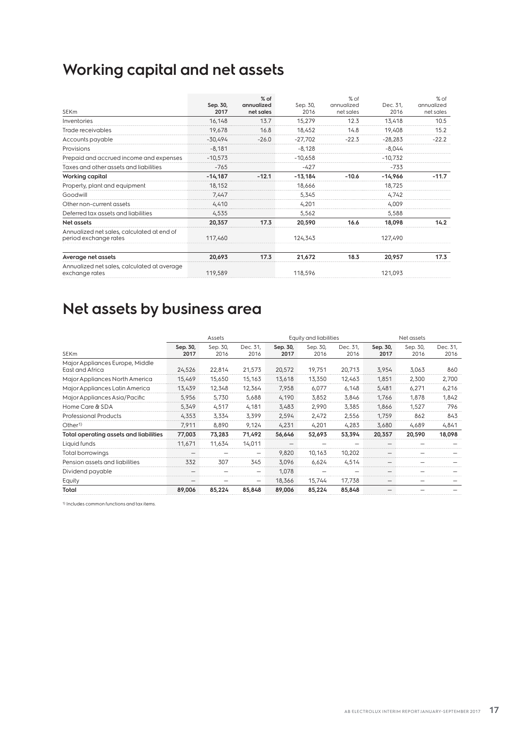## **Working capital and net assets**

|                                                                     |           | $%$ of     |           | % of       | $%$ of    |            |  |
|---------------------------------------------------------------------|-----------|------------|-----------|------------|-----------|------------|--|
|                                                                     | Sep. 30,  | annualized | Sep. 30,  | annualized | Dec. 31,  | annualized |  |
| <b>SEKm</b>                                                         | 2017      | net sales  | 2016      | net sales  | 2016      | net sales  |  |
| Inventories                                                         | 16,148    | 13.7       | 15,279    | 12.3       | 13,418    | 10.5       |  |
| Trade receivables                                                   | 19,678    | 16.8       | 18,452    | 14.8       | 19,408    | 15.2       |  |
| Accounts payable                                                    | $-30,494$ | $-26.0$    | $-27,702$ | $-22.3$    | $-28,283$ | $-22.2$    |  |
| Provisions                                                          | $-8,181$  |            | $-8,128$  |            | $-8.044$  |            |  |
| Prepaid and accrued income and expenses                             | $-10,573$ |            | $-10,658$ |            | $-10,732$ |            |  |
| Taxes and other assets and liabilities                              | $-765$    |            | $-427$    |            | -733      |            |  |
| Working capital                                                     | $-14,187$ | $-12.1$    | $-13,184$ | $-10.6$    | $-14,966$ | $-11.7$    |  |
| Property, plant and equipment                                       | 18,152    |            | 18,666    |            | 18,725    |            |  |
| Goodwill                                                            | 7,447     |            | 5,345     |            | 4,742     |            |  |
| Other non-current assets                                            | 4,410     |            | 4,201     |            | 4,009     |            |  |
| Deferred tax assets and liabilities                                 | 4,535     |            | 5,562     |            | 5,588     |            |  |
| Net assets                                                          | 20,357    | 17.3       | 20,590    | 16.6       | 18,098    | 14.2       |  |
| Annualized net sales, calculated at end of<br>period exchange rates | 117,460   |            | 124,343   |            | 127,490   |            |  |
|                                                                     |           |            |           |            |           |            |  |
| Average net assets                                                  | 20,693    | 17.3       | 21,672    | 18.3       | 20,957    | 17.3       |  |
| Annualized net sales, calculated at average<br>exchange rates       | 119,589   |            | 118,596   |            | 121,093   |            |  |
|                                                                     |           |            |           |            |           |            |  |

## **Net assets by business area**

|                                                    |                          | <b>Equity and liabilities</b><br>Assets |                   |                  |                  | Net assets       |                          |                  |                  |
|----------------------------------------------------|--------------------------|-----------------------------------------|-------------------|------------------|------------------|------------------|--------------------------|------------------|------------------|
| <b>SEKm</b>                                        | Sep. 30,<br>2017         | Sep. 30,<br>2016                        | Dec. 31,<br>2016  | Sep. 30,<br>2017 | Sep. 30,<br>2016 | Dec. 31,<br>2016 | Sep. 30,<br>2017         | Sep. 30,<br>2016 | Dec. 31,<br>2016 |
| Major Appliances Europe, Middle<br>East and Africa | 24,526                   | 22,814                                  | 21,573            | 20,572           | 19,751           | 20,713           | 3,954                    | 3,063            | 860              |
| Major Appliances North America                     | 15,469                   | 15,650                                  | 15,163            | 13,618           | 13,350           | 12,463           | 1,851                    | 2,300            | 2,700            |
| Major Appliances Latin America                     | 13,439                   | 12,348                                  | 12,364            | 7,958            | 6,077            | 6,148            | 5,481                    | 6,271            | 6,216            |
| Major Appliances Asia/Pacific                      | 5,956                    | 5,730                                   | 5,688             | 4,190            | 3,852            | 3,846            | 1,766                    | 1,878            | 1,842            |
| Home Care & SDA                                    | 5,349                    | 4,517                                   | 4,181             | 3,483            | 2,990            | 3,385            | 1,866                    | 1,527            | 796              |
| <b>Professional Products</b>                       | 4,353                    | 3,334                                   | 3,399             | 2,594            | 2,472            | 2,556            | 1,759                    | 862              | 843              |
| Other <sup>1</sup>                                 | 7.911                    | 8,890                                   | 9,124             | 4.231            | 4,201            | 4.283            | 3.680                    | 4,689            | 4,841            |
| Total operating assets and liabilities             | 77,003                   | 73,283                                  | 71,492            | 56,646           | 52,693           | 53,394           | 20,357                   | 20,590           | 18,098           |
| Liquid funds                                       | 11,671                   | 11,634                                  | 14,011            |                  |                  |                  |                          |                  |                  |
| Total borrowings                                   | $\overline{\phantom{a}}$ |                                         | $\qquad \qquad -$ | 9,820            | 10,163           | 10,202           | $\overline{\phantom{0}}$ |                  |                  |
| Pension assets and liabilities                     | 332                      | 307                                     | 345               | 3.096            | 6.624            | 4.514            | $\overline{\phantom{0}}$ |                  |                  |
| Dividend payable                                   |                          |                                         |                   | 1,078            |                  |                  |                          |                  |                  |
| Equity                                             |                          |                                         |                   | 18,366           | 15,744           | 17,738           | —                        |                  |                  |
| Total                                              | 89,006                   | 85,224                                  | 85,848            | 89,006           | 85,224           | 85,848           |                          |                  |                  |

1) Includes common functions and tax items.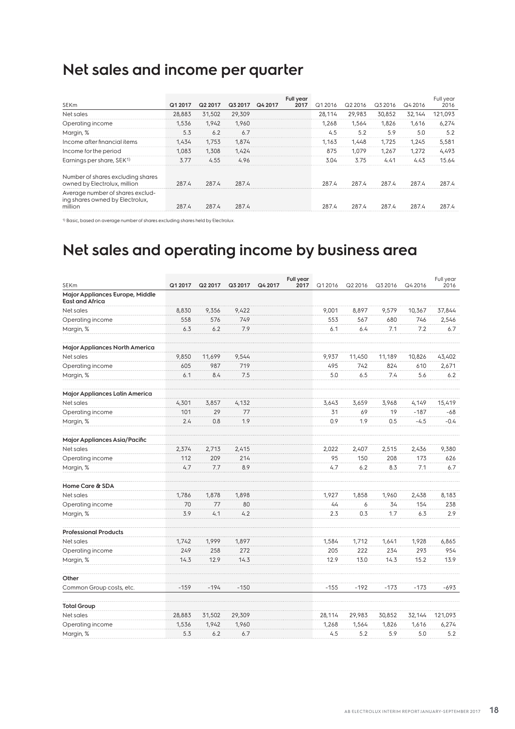## **Net sales and income per quarter**

| <b>SEKm</b>                                                                    | Q1 2017 | Q2 2017 | Q3 2017 | Q4 2017 | Full year<br>2017 | Q1 2016 | Q2 2016 | Q3 2016 | Q4 2016 | Full year<br>2016 |
|--------------------------------------------------------------------------------|---------|---------|---------|---------|-------------------|---------|---------|---------|---------|-------------------|
| Net sales                                                                      | 28,883  | 31,502  | 29,309  |         |                   | 28.114  | 29,983  | 30,852  | 32,144  | 121,093           |
| Operating income                                                               | 1.536   | 1.942   | 1.960   |         |                   | 1.268   | 1.564   | 1.826   | 1.616   | 6,274             |
| Margin, %                                                                      | 5.3     | 6.2     | 6.7     |         |                   | 4.5     | 5.2     | 5.9     | 5.0     | 5.2               |
| Income after financial items                                                   | 1.434   | 1.753   | 1.874   |         |                   | 1.163   | 1.448   | 1.725   | 1.245   | 5,581             |
| Income for the period                                                          | 1.083   | 1,308   | 1.424   |         |                   | 875     | 1.079   | 1.267   | 1.272   | 4,493             |
| Earnings per share, SEK <sup>1)</sup>                                          | 3.77    | 4.55    | 4.96    |         |                   | 3.04    | 3.75    | 4.41    | 4.43    | 15.64             |
| Number of shares excluding shares<br>owned by Electrolux, million              | 287.4   | 287.4   | 287.4   |         |                   | 287.4   | 287.4   | 287.4   | 287.4   | 287.4             |
| Average number of shares exclud-<br>ing shares owned by Electrolux,<br>million | 287.4   | 287.4   | 287.4   |         |                   | 287.4   | 287.4   | 287.4   | 287.4   | 287.4             |

1) Basic, based on average number of shares excluding shares held by Electrolux.

## **Net sales and operating income by business area**

| SEKm                                                      | Q1 2017 | Q2 2017 | Q3 2017 | Q4 2017 | Full year<br>2017 | Q1 2016 | Q2 2016 | Q3 2016 | Q4 2016 | Full year<br>2016 |
|-----------------------------------------------------------|---------|---------|---------|---------|-------------------|---------|---------|---------|---------|-------------------|
| Major Appliances Europe, Middle<br><b>East and Africa</b> |         |         |         |         |                   |         |         |         |         |                   |
| Net sales                                                 | 8,830   | 9,356   | 9,422   |         |                   | 9,001   | 8,897   | 9,579   | 10,367  | 37,844            |
| Operating income                                          | 558     | 576     | 749     |         |                   | 553     | 567     | 680     | 746     | 2,546             |
| Margin, %                                                 | 6.3     | 6.2     | 7.9     |         |                   | 6.1     | 6.4     | 7.1     | 7.2     | 6.7               |
| Major Appliances North America                            |         |         |         |         |                   |         |         |         |         |                   |
| Net sales                                                 | 9,850   | 11,699  | 9,544   |         |                   | 9,937   | 11,450  | 11,189  | 10,826  | 43,402            |
| Operating income                                          | 605     | 987     | 719     |         |                   | 495     | 742     | 824     | 610     | 2,671             |
| Margin, %                                                 | 6.1     | 8.4     | 7.5     |         |                   | 5.0     | 6.5     | 7.4     | 5.6     | 6.2               |
| Major Appliances Latin America                            |         |         |         |         |                   |         |         |         |         |                   |
| Net sales                                                 | 4,301   | 3,857   | 4,132   |         |                   | 3,643   | 3,659   | 3,968   | 4,149   | 15,419            |
| Operating income                                          | 101     | 29      | 77      |         |                   | 31      | 69      | 19      | $-187$  | -68               |
| Margin, %                                                 | 2.4     | 0.8     | 1.9     |         |                   | 0.9     | 1.9     | 0.5     | $-4.5$  | $-0.4$            |
| Major Appliances Asia/Pacific                             |         |         |         |         |                   |         |         |         |         |                   |
| Net sales                                                 | 2,374   | 2,713   | 2,415   |         |                   | 2,022   | 2,407   | 2,515   | 2,436   | 9,380             |
| Operating income                                          | 112     | 209     | 214     |         |                   | 95      | 150     | 208     | 173     | 626               |
| Margin, %                                                 | 4.7     | 7.7     | 8.9     |         |                   | 4.7     | 6.2     | 8.3     | 7.1     | 6.7               |
| Home Care & SDA                                           |         |         |         |         |                   |         |         |         |         |                   |
| Net sales                                                 | 1,786   | 1,878   | 1.898   |         |                   | 1,927   | 1,858   | 1,960   | 2,438   | 8,183             |
| Operating income                                          | 70      | 77      | 80      |         |                   | 44      | 6       | 34      | 154     | 238               |
| Margin, %                                                 | 3.9     | 4.1     | 4.2     |         |                   | 2.3     | 0.3     | 1.7     | 6.3     | 2.9               |
| <b>Professional Products</b>                              |         |         |         |         |                   |         |         |         |         |                   |
| Net sales                                                 | 1,742   | 1,999   | 1,897   |         |                   | 1,584   | 1,712   | 1,641   | 1,928   | 6,865             |
| Operating income                                          | 249     | 258     | 272     |         |                   | 205     | 222     | 234     | 293     | 954               |
| Margin, %                                                 | 14.3    | 12.9    | 14.3    |         |                   | 12.9    | 13.0    | 14.3    | 15.2    | 13.9              |
| Other                                                     |         |         |         |         |                   |         |         |         |         |                   |
| Common Group costs, etc.                                  | $-159$  | $-194$  | $-150$  |         |                   | $-155$  | $-192$  | $-173$  | $-173$  | $-693$            |
| <b>Total Group</b>                                        |         |         |         |         |                   |         |         |         |         |                   |
| Net sales                                                 | 28,883  | 31,502  | 29,309  |         |                   | 28,114  | 29,983  | 30,852  | 32,144  | 121,093           |
| Operating income                                          | 1,536   | 1,942   | 1,960   |         |                   | 1,268   | 1,564   | 1,826   | 1,616   | 6,274             |
| Margin, %                                                 | 5.3     | 6.2     | 6.7     |         |                   | 4.5     | 5.2     | 5.9     | 5.0     | 5.2               |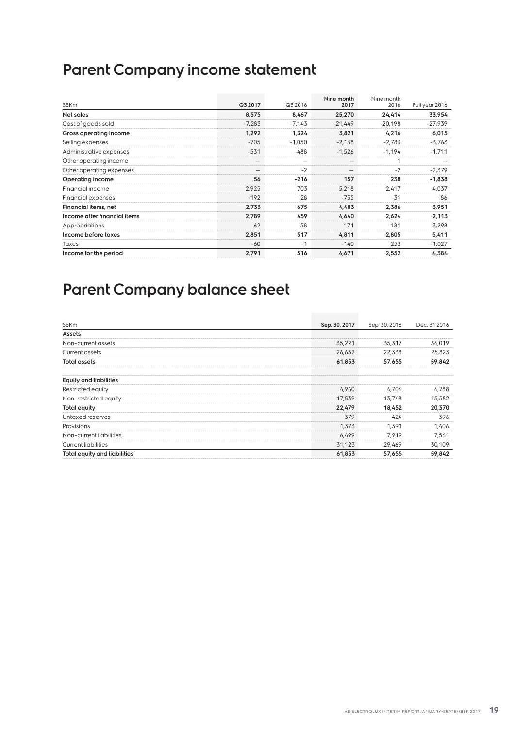## **Parent Company income statement**

| <b>SEKm</b>                  | Q3 2017  | Q3 2016                  | Nine month<br>2017       | Nine month<br>2016 | Full year 2016 |
|------------------------------|----------|--------------------------|--------------------------|--------------------|----------------|
| Net sales                    | 8,575    | 8,467                    | 25,270                   | 24,414             | 33,954         |
| Cost of goods sold           | $-7,283$ | $-7,143$                 | $-21,449$                | $-20,198$          | $-27,939$      |
| Gross operating income       | 1,292    | 1,324                    | 3,821                    | 4,216              | 6,015          |
| Selling expenses             | $-705$   | $-1,050$                 | $-2,138$                 | $-2,783$           | $-3,763$       |
| Administrative expenses      | $-531$   | $-488$                   | $-1,526$                 | $-1,194$           | $-1,711$       |
| Other operating income       |          | $\overline{\phantom{0}}$ | $\overline{\phantom{a}}$ | 1                  |                |
| Other operating expenses     |          | $-2$                     |                          | $-2$               | $-2,379$       |
| Operating income             | 56       | $-216$                   | 157                      | 238                | $-1,838$       |
| Financial income             | 2,925    | 703                      | 5,218                    | 2,417              | 4,037          |
| <b>Financial expenses</b>    | $-192$   | $-28$                    | $-735$                   | $-31$              | -86            |
| Financial items, net         | 2,733    | 675                      | 4,483                    | 2,386              | 3,951          |
| Income after financial items | 2,789    | 459                      | 4,640                    | 2,624              | 2,113          |
| Appropriations               | 62       | 58                       | 171                      | 181                | 3,298          |
| Income before taxes          | 2,851    | 517                      | 4,811                    | 2,805              | 5,411          |
| Taxes                        | $-60$    | $-1$                     | $-140$                   | $-253$             | $-1,027$       |
| Income for the period        | 2,791    | 516                      | 4,671                    | 2,552              | 4,384          |

## **Parent Company balance sheet**

| SEKm                          | Sep. 30, 2017 | Sep. 30, 2016 | Dec. 31 2016 |
|-------------------------------|---------------|---------------|--------------|
| Assets                        |               |               |              |
| Non-current assets            | 35,221        | 35,317        | 34,019       |
| Current assets                | 26,632        | 22,338        | 25,823       |
| <b>Total assets</b>           | 61,853        | 57,655        | 59,842       |
| <b>Equity and liabilities</b> |               |               |              |
| Restricted equity             | 4,940         | 4.704         | 4,788        |
| Non-restricted equity         | 17,539        | 13,748        | 15,582       |
| Total equity                  | 22,479        | 18,452        | 20,370       |
| Untaxed reserves              | 379           | 424           | 396          |
| Provisions                    | 1,373         | 1,391         | 1,406        |
| Non-current liabilities       | 6,499         | 7,919         | 7,561        |
| <b>Current liabilities</b>    | 31,123        | 29,469        | 30,109       |
| Total equity and liabilities  | 61,853        | 57,655        | 59,842       |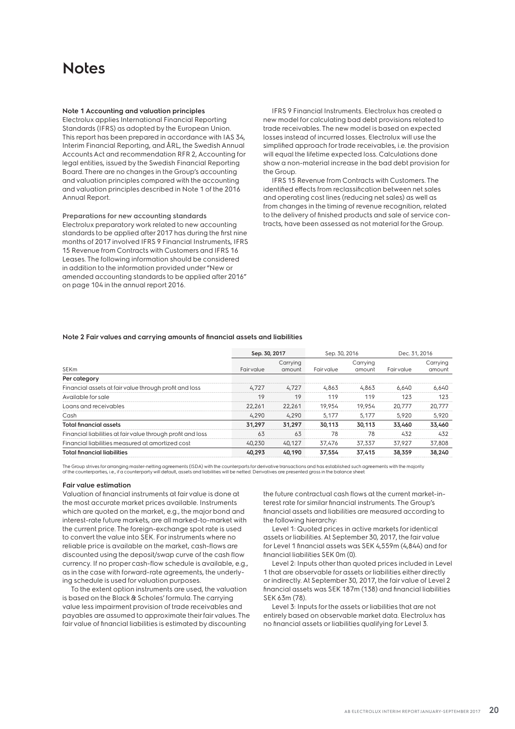### **Notes**

### **Note 1 Accounting and valuation principles**

Electrolux applies International Financial Reporting Standards (IFRS) as adopted by the European Union. This report has been prepared in accordance with IAS 34, Interim Financial Reporting, and ÅRL, the Swedish Annual Accounts Act and recommendation RFR 2, Accounting for legal entities, issued by the Swedish Financial Reporting Board. There are no changes in the Group's accounting and valuation principles compared with the accounting and valuation principles described in Note 1 of the 2016 Annual Report.

**Preparations for new accounting standards** Electrolux preparatory work related to new accounting standards to be applied after 2017 has during the first nine months of 2017 involved IFRS 9 Financial Instruments, IFRS 15 Revenue from Contracts with Customers and IFRS 16 Leases. The following information should be considered in addition to the information provided under "New or amended accounting standards to be applied after 2016" on page 104 in the annual report 2016.

IFRS 9 Financial Instruments. Electrolux has created a new model for calculating bad debt provisions related to trade receivables. The new model is based on expected losses instead of incurred losses. Electrolux will use the simplified approach for trade receivables, i.e. the provision will equal the lifetime expected loss. Calculations done show a non-material increase in the bad debt provision for the Group.

IFRS 15 Revenue from Contracts with Customers. The identified effects from reclassification between net sales and operating cost lines (reducing net sales) as well as from changes in the timing of revenue recognition, related to the delivery of finished products and sale of service contracts, have been assessed as not material for the Group.

### **Note 2 Fair values and carrying amounts of financial assets and liabilities**

|                                                             | Sep. 30, 2017 |                    | Sep. 30, 2016 |                    | Dec. 31, 2016 |                    |
|-------------------------------------------------------------|---------------|--------------------|---------------|--------------------|---------------|--------------------|
| <b>SEKm</b>                                                 | Fair value    | Carrying<br>amount | Fairvalue     | Carrying<br>amount | Fair value    | Carrying<br>amount |
| Per category                                                |               |                    |               |                    |               |                    |
| Financial assets at fair value through profit and loss      | 4.727         | 4.727              | 4,863         | 4,863              | 6.640         | 6.640              |
| Available for sale                                          | 19            | 19                 | 119           | 119                | 123           | 123                |
| Loans and receivables                                       | 22,261        | 22.261             | 19,954        | 19,954             | 20.777        | 20,777             |
| Cash                                                        | 4,290         | 4,290              | 5.177         | 5.177              | 5,920         | 5,920              |
| <b>Total financial assets</b>                               | 31.297        | 31.297             | 30.113        | 30.113             | 33,460        | 33,460             |
| Financial liabilities at fair value through profit and loss | 63            | 63                 | 78            | 78                 | 432           | 432                |
| Financial liabilities measured at amortized cost            | 40,230        | 40.127             | 37,476        | 37,337             | 37.927        | 37,808             |
| <b>Total financial liabilities</b>                          | 40.293        | 40.190             | 37.554        | 37.415             | 38.359        | 38,240             |

The Group strives for arranging master-netting agreements (ISDA) with the counterparts for derivative transactions and has established such agreements with the majority of the counterparties, i.e., if a counterparty will default, assets and liabilities will be netted. Derivatives are presented gross in the balance sheet.

### **Fair value estimation**

Valuation of financial instruments at fair value is done at the most accurate market prices available. Instruments which are quoted on the market, e.g., the major bond and interest-rate future markets, are all marked-to-market with the current price. The foreign-exchange spot rate is used to convert the value into SEK. For instruments where no reliable price is available on the market, cash-flows are discounted using the deposit/swap curve of the cash flow currency. If no proper cash-flow schedule is available, e.g., as in the case with forward-rate agreements, the underlying schedule is used for valuation purposes.

To the extent option instruments are used, the valuation is based on the Black & Scholes' formula. The carrying value less impairment provision of trade receivables and payables are assumed to approximate their fair values. The fair value of financial liabilities is estimated by discounting

the future contractual cash flows at the current market-interest rate for similar financial instruments. The Group's financial assets and liabilities are measured according to the following hierarchy:

Level 1: Quoted prices in active markets for identical assets or liabilities. At September 30, 2017, the fair value for Level 1 financial assets was SEK 4,559m (4,844) and for financial liabilities SEK 0m (0).

Level 2: Inputs other than quoted prices included in Level 1 that are observable for assets or liabilities either directly or indirectly. At September 30, 2017, the fair value of Level 2 financial assets was SEK 187m (138) and financial liabilities SEK 63m (78).

Level 3: Inputs for the assets or liabilities that are not entirely based on observable market data. Electrolux has no financial assets or liabilities qualifying for Level 3.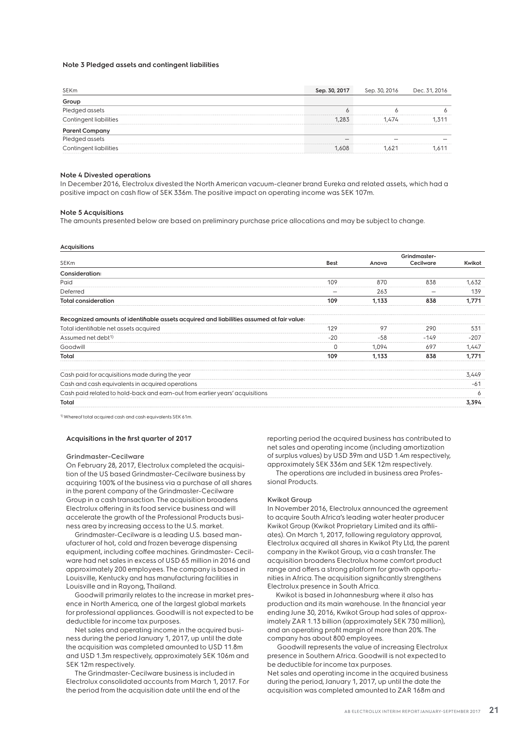### **Note 3 Pledged assets and contingent liabilities**

| Sep. 30, 2017 | Sep. 30, 2016 | Dec. 31, 2016 |
|---------------|---------------|---------------|
|               |               |               |
|               |               |               |
| 1.283         | 1.474         | 1.311         |
|               |               |               |
|               |               |               |
| 1.608         | 1621          | .611          |
|               |               |               |

### **Note 4 Divested operations**

In December 2016, Electrolux divested the North American vacuum-cleaner brand Eureka and related assets, which had a positive impact on cash flow of SEK 336m. The positive impact on operating income was SEK 107m.

#### **Note 5 Acquisitions**

The amounts presented below are based on preliminary purchase price allocations and may be subject to change.

#### **Acquisitions**

| . <sub>1</sub>                                                                            |             |       |                           |        |
|-------------------------------------------------------------------------------------------|-------------|-------|---------------------------|--------|
| SEKm                                                                                      | <b>Best</b> | Anova | Grindmaster-<br>Cecilware | Kwikot |
| Consideration:                                                                            |             |       |                           |        |
| Paid                                                                                      | 109         | 870   | 838                       | 1,632  |
| Deferred                                                                                  |             | 263   |                           | 139    |
| <b>Total consideration</b>                                                                | 109         | 1,133 | 838                       | 1,771  |
| Recognized amounts of identifiable assets acquired and liabilities assumed at fair value: |             |       |                           |        |
| Total identifiable net assets acquired                                                    | 129         | 97    | 290                       | 531    |
| Assumed net debt <sup>1)</sup>                                                            | $-20$       | $-58$ | $-149$                    | $-207$ |
| Goodwill                                                                                  | 0           | 1,094 | 697                       | 1,447  |
| Total                                                                                     | 109         | 1,133 | 838                       | 1,771  |
| Cash paid for acquisitions made during the year                                           |             |       |                           | 3,449  |
| Cash and cash equivalents in acquired operations                                          |             |       |                           | $-61$  |
| Cash paid related to hold-back and earn-out from earlier years' acquisitions              |             |       |                           | 6      |
| Total                                                                                     |             |       |                           | 3,394  |
|                                                                                           |             |       |                           |        |

1) Whereof total acquired cash and cash equivalents SEK 61m.

### **Acquisitions in the first quarter of 2017**

#### **Grindmaster-Cecilware**

On February 28, 2017, Electrolux completed the acquisition of the US based Grindmaster-Cecilware business by acquiring 100% of the business via a purchase of all shares in the parent company of the Grindmaster-Cecilware Group in a cash transaction. The acquisition broadens Electrolux offering in its food service business and will accelerate the growth of the Professional Products business area by increasing access to the U.S. market.

Grindmaster-Cecilware is a leading U.S. based manufacturer of hot, cold and frozen beverage dispensing equipment, including coffee machines. Grindmaster- Cecilware had net sales in excess of USD 65 million in 2016 and approximately 200 employees. The company is based in Louisville, Kentucky and has manufacturing facilities in Louisville and in Rayong, Thailand.

Goodwill primarily relates to the increase in market presence in North America, one of the largest global markets for professional appliances. Goodwill is not expected to be deductible for income tax purposes.

Net sales and operating income in the acquired business during the period January 1, 2017, up until the date the acquisition was completed amounted to USD 11.8m and USD 1.3m respectively, approximately SEK 106m and SEK 12m respectively.

The Grindmaster-Cecilware business is included in Electrolux consolidated accounts from March 1, 2017. For the period from the acquisition date until the end of the

reporting period the acquired business has contributed to net sales and operating income (including amortization of surplus values) by USD 39m and USD 1.4m respectively, approximately SEK 336m and SEK 12m respectively. The operations are included in business area Profes-

sional Products.

### **Kwikot Group**

In November 2016, Electrolux announced the agreement to acquire South Africa's leading water heater producer Kwikot Group (Kwikot Proprietary Limited and its affiliates). On March 1, 2017, following regulatory approval, Electrolux acquired all shares in Kwikot Pty Ltd, the parent company in the Kwikot Group, via a cash transfer. The acquisition broadens Electrolux home comfort product range and offers a strong platform for growth opportunities in Africa. The acquisition significantly strengthens Electrolux presence in South Africa.

Kwikot is based in Johannesburg where it also has production and its main warehouse. In the financial year ending June 30, 2016, Kwikot Group had sales of approximately ZAR 1.13 billion (approximately SEK 730 million), and an operating profit margin of more than 20%. The company has about 800 employees.

 Goodwill represents the value of increasing Electrolux presence in Southern Africa. Goodwill is not expected to be deductible for income tax purposes. Net sales and operating income in the acquired business during the period, January 1, 2017, up until the date the

acquisition was completed amounted to ZAR 168m and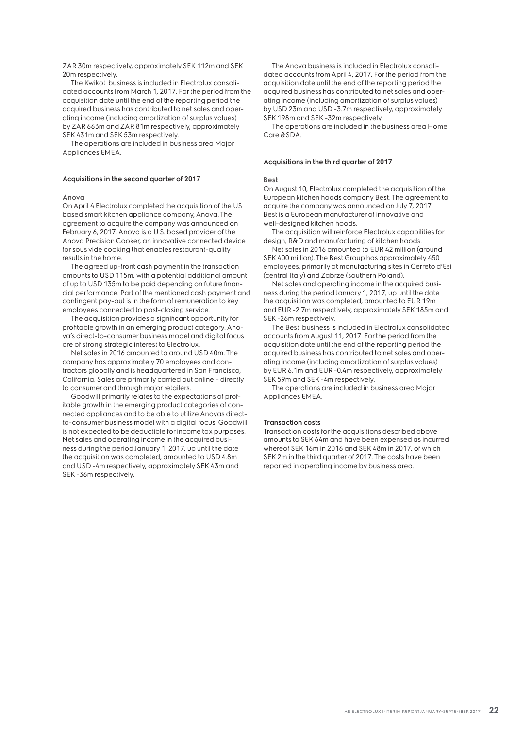ZAR 30m respectively, approximately SEK 112m and SEK 20m respectively.

The Kwikot business is included in Electrolux consolidated accounts from March 1, 2017. For the period from the acquisition date until the end of the reporting period the acquired business has contributed to net sales and operating income (including amortization of surplus values) by ZAR 663m and ZAR 81m respectively, approximately SEK 431m and SEK 53m respectively.

The operations are included in business area Major Appliances EMEA.

### **Acquisitions in the second quarter of 2017**

### **Anova**

On April 4 Electrolux completed the acquisition of the US based smart kitchen appliance company, Anova. The agreement to acquire the company was announced on February 6, 2017. Anova is a U.S. based provider of the Anova Precision Cooker, an innovative connected device for sous vide cooking that enables restaurant-quality results in the home.

The agreed up-front cash payment in the transaction amounts to USD 115m, with a potential additional amount of up to USD 135m to be paid depending on future financial performance. Part of the mentioned cash payment and contingent pay-out is in the form of remuneration to key employees connected to post-closing service.

The acquisition provides a significant opportunity for profitable growth in an emerging product category. Anova's direct-to-consumer business model and digital focus are of strong strategic interest to Electrolux.

Net sales in 2016 amounted to around USD 40m. The company has approximately 70 employees and contractors globally and is headquartered in San Francisco, California. Sales are primarily carried out online – directly to consumer and through major retailers.

Goodwill primarily relates to the expectations of profitable growth in the emerging product categories of connected appliances and to be able to utilize Anovas directto-consumer business model with a digital focus. Goodwill is not expected to be deductible for income tax purposes. Net sales and operating income in the acquired business during the period January 1, 2017, up until the date the acquisition was completed, amounted to USD 4.8m and USD -4m respectively, approximately SEK 43m and SEK -36m respectively.

The Anova business is included in Electrolux consolidated accounts from April 4, 2017. For the period from the acquisition date until the end of the reporting period the acquired business has contributed to net sales and operating income (including amortization of surplus values) by USD 23m and USD -3.7m respectively, approximately SEK 198m and SEK -32m respectively.

The operations are included in the business area Home Care &SDA.

#### **Acquisitions in the third quarter of 2017**

#### **Best**

On August 10, Electrolux completed the acquisition of the European kitchen hoods company Best. The agreement to acquire the company was announced on July 7, 2017. Best is a European manufacturer of innovative and well-designed kitchen hoods.

The acquisition will reinforce Electrolux capabilities for design, R&D and manufacturing of kitchen hoods.

Net sales in 2016 amounted to EUR 42 million (around SEK 400 million). The Best Group has approximately 450 employees, primarily at manufacturing sites in Cerreto d'Esi (central Italy) and Zabrze (southern Poland).

Net sales and operating income in the acquired business during the period January 1, 2017, up until the date the acquisition was completed, amounted to EUR 19m and EUR -2.7m respectively, approximately SEK 185m and SEK -26m respectively.

The Best business is included in Electrolux consolidated accounts from August 11, 2017. For the period from the acquisition date until the end of the reporting period the acquired business has contributed to net sales and operating income (including amortization of surplus values) by EUR 6.1m and EUR -0.4m respectively, approximately SEK 59m and SEK -4m respectively.

The operations are included in business area Major Appliances EMEA.

### **Transaction costs**

Transaction costs for the acquisitions described above amounts to SEK 64m and have been expensed as incurred whereof SEK 16m in 2016 and SEK 48m in 2017, of which SEK 2m in the third quarter of 2017. The costs have been reported in operating income by business area.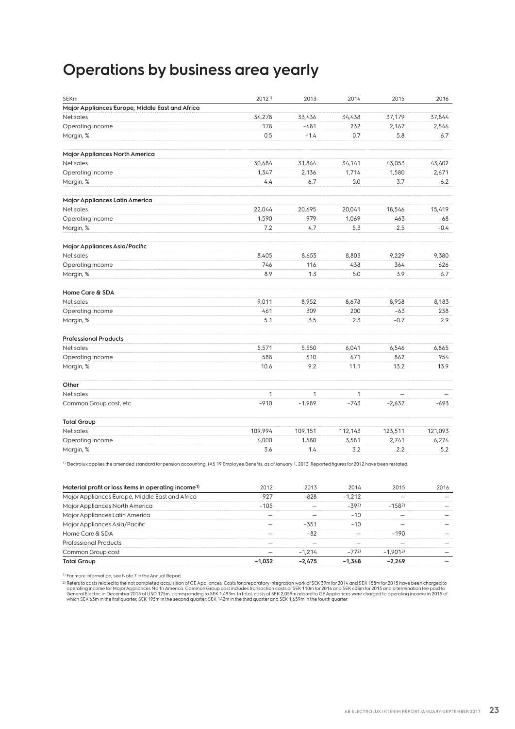### **Operations by business area yearly**

| <b>SEKm</b>                                     | 20121)       | 2013         | 2014         | 2015     | 2016    |
|-------------------------------------------------|--------------|--------------|--------------|----------|---------|
| Major Appliances Europe, Middle East and Africa |              |              |              |          |         |
| Net sales                                       | 34,278       | 33,436       | 34,438       | 37,179   | 37,844  |
| Operating income                                | 178          | $-481$       | 232          | 2,167    | 2,546   |
| Margin, %                                       | 0.5          | $-1.4$       | 0.7          | 5.8      | 6.7     |
| Major Appliances North America                  |              |              |              |          |         |
| Net sales                                       | 30,684       | 31,864       | 34,141       | 43,053   | 43,402  |
| Operating income                                | 1,347        | 2,136        | 1,714        | 1,580    | 2,671   |
| Margin, %                                       | 4.4          | 6.7          | 5.0          | 3.7      | 6.2     |
| Major Appliances Latin America                  |              |              |              |          |         |
| Net sales                                       | 22,044       | 20,695       | 20,041       | 18,546   | 15,419  |
| Operating income                                | 1,590        | 979          | 1,069        | 463      | $-68$   |
| Margin, %                                       | 7.2          | 4.7          | 5.3          | 2.5      | $-0.4$  |
| Major Appliances Asia/Pacific                   |              |              |              |          |         |
| Net sales                                       | 8,405        | 8,653        | 8,803        | 9,229    | 9,380   |
| Operating income                                | 746          | 116          | 438          | 364      | 626     |
| Margin, %                                       | 8.9          | 1.3          | 5.0          | 3.9      | 6.7     |
| Home Care & SDA                                 |              |              |              |          |         |
| Net sales                                       | 9,011        | 8,952        | 8,678        | 8,958    | 8,183   |
| Operating income                                | 461          | 309          | 200          | $-63$    | 238     |
| Margin, %                                       | 5.1          | 3.5          | 2.3          | $-0.7$   | 2.9     |
| <b>Professional Products</b>                    |              |              |              |          |         |
| Net sales                                       | 5,571        | 5,550        | 6,041        | 6,546    | 6,865   |
| Operating income                                | 588          | 510          | 671          | 862      | 954     |
| Margin, %                                       | 10.6         | 9.2          | 11.1         | 13.2     | 13.9    |
| Other                                           |              |              |              |          |         |
| Net sales                                       | $\mathbf{1}$ | $\mathbf{1}$ | $\mathbf{1}$ |          |         |
| Common Group cost, etc.                         | $-910$       | $-1,989$     | $-743$       | $-2,632$ | -693    |
| <b>Total Group</b>                              |              |              |              |          |         |
| Net sales                                       | 109,994      | 109,151      | 112,143      | 123,511  | 121,093 |
| Operating income                                | 4,000        | 1,580        | 3,581        | 2,741    | 6,274   |
| Margin, %                                       | 3.6          | 1.4          | 3.2          | 2.2      | 5.2     |

1) Electrolux applies the amended standard for pension accounting, IAS 19 Employee Benefits, as of January 1, 2013. Reported figures for 2012 have been restated.

| Material profit or loss items in operating income <sup>1)</sup> | 2012     | 2013     | 2014     | 2015      | 2016 |
|-----------------------------------------------------------------|----------|----------|----------|-----------|------|
| Major Appliances Europe, Middle East and Africa                 | $-927$   | $-828$   | $-1.212$ |           |      |
| Major Appliances North America                                  | $-10.5$  |          | $-392$   | $-1.582$  |      |
| Major Appliances Latin America                                  |          |          | $-10$    |           |      |
| Major Appliances Asia/Pacific                                   |          | $-351$   | $-10$    |           |      |
| Home Care & SDA                                                 |          | -82      |          | $-190$    |      |
| Professional Products                                           |          |          |          |           |      |
| Common Group cost                                               |          | $-1.214$ | $-772)$  | $-1.9012$ |      |
| <b>Total Group</b>                                              | $-1.032$ | $-2.475$ | $-1.348$ | $-2.249$  |      |

1) For more information, see Note 7 in the Annual Report..

<sup>2)</sup> Refers to costs related to the not completed acquisition of GE Appliances. Costs for preparatory integration work of SEK 39m for 2014 and SEK 158m for 2015 have been charged to<br>General tight of the proton of the metho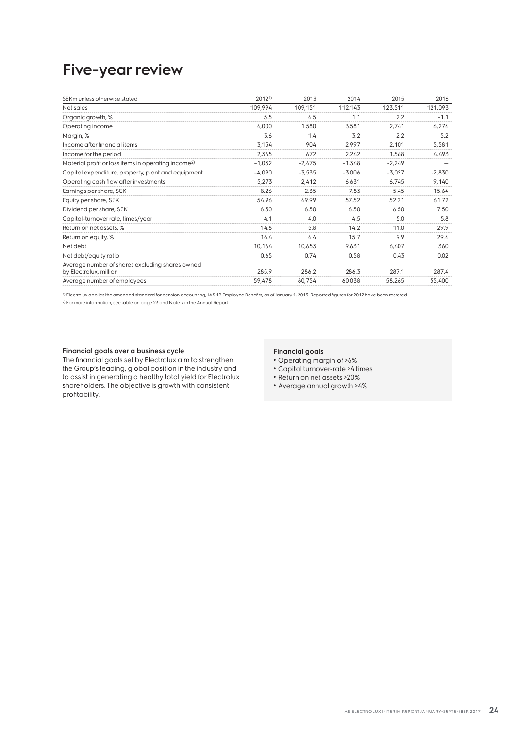### **Five-year review**

| SEKm unless otherwise stated                                              | 20121)   | 2013     | 2014     | 2015     | 2016     |
|---------------------------------------------------------------------------|----------|----------|----------|----------|----------|
| Net sales                                                                 | 109,994  | 109,151  | 112,143  | 123,511  | 121,093  |
| Organic growth, %                                                         | 5.5      | 4.5      | 1.1      | 2.2      | $-1.1$   |
| Operating income                                                          | 4,000    | 1.580    | 3,581    | 2,741    | 6,274    |
| Margin, %                                                                 | 3.6      | 1.4      | 3.2      | 2.2      | 5.2      |
| Income after financial items                                              | 3,154    | 904      | 2,997    | 2,101    | 5,581    |
| Income for the period                                                     | 2,365    | 672      | 2,242    | 1,568    | 4,493    |
| Material profit or loss items in operating income <sup>2)</sup>           | $-1,032$ | $-2,475$ | $-1,348$ | $-2,249$ |          |
| Capital expenditure, property, plant and equipment                        | $-4,090$ | $-3,535$ | $-3,006$ | $-3,027$ | $-2,830$ |
| Operating cash flow after investments                                     | 5,273    | 2,412    | 6,631    | 6,745    | 9,140    |
| Earnings per share, SEK                                                   | 8.26     | 2.35     | 7.83     | 5.45     | 15.64    |
| Equity per share, SEK                                                     | 54.96    | 49.99    | 57.52    | 52.21    | 61.72    |
| Dividend per share, SEK                                                   | 6.50     | 6.50     | 6.50     | 6.50     | 7.50     |
| Capital-turnover rate, times/year                                         | 4.1      | 4.0      | 4.5      | 5.0      | 5.8      |
| Return on net assets, %                                                   | 14.8     | 5.8      | 14.2     | 11.0     | 29.9     |
| Return on equity, %                                                       | 14.4     | 4.4      | 15.7     | 9.9      | 29.4     |
| Net debt                                                                  | 10,164   | 10,653   | 9,631    | 6,407    | 360      |
| Net debt/equity ratio                                                     | 0.65     | 0.74     | 0.58     | 0.43     | 0.02     |
| Average number of shares excluding shares owned<br>by Electrolux, million | 285.9    | 286.2    | 286.3    | 287.1    | 287.4    |
| Average number of employees                                               | 59,478   | 60,754   | 60,038   | 58,265   | 55,400   |

1) Electrolux applies the amended standard for pension accounting, IAS 19 Employee Benefits, as of January 1, 2013. Reported figures for 2012 have been restated. 2) For more information, see table on page 23 and Note 7 in the Annual Report..

### **Financial goals over a business cycle**

The financial goals set by Electrolux aim to strengthen the Group's leading, global position in the industry and to assist in generating a healthy total yield for Electrolux shareholders. The objective is growth with consistent profitability.

### **Financial goals**

- Operating margin of >6%
- Capital turnover-rate >4 times
- Return on net assets >20%
- Average annual growth >4%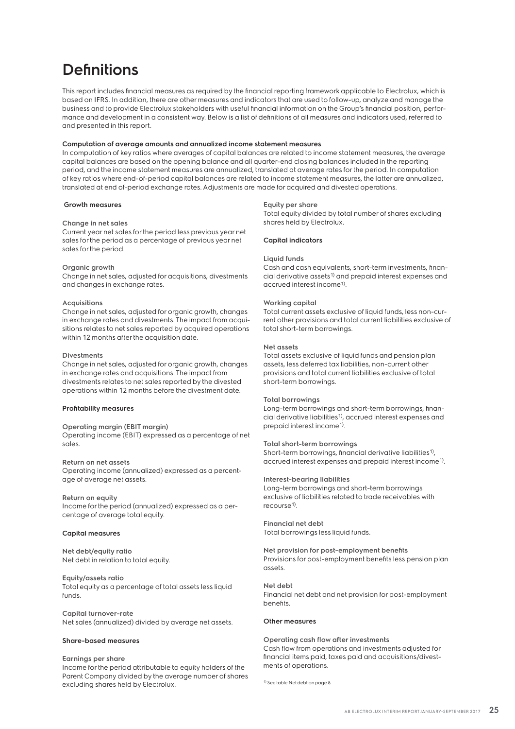### **Definitions**

This report includes financial measures as required by the financial reporting framework applicable to Electrolux, which is based on IFRS. In addition, there are other measures and indicators that are used to follow-up, analyze and manage the business and to provide Electrolux stakeholders with useful financial information on the Group's financial position, performance and development in a consistent way. Below is a list of definitions of all measures and indicators used, referred to and presented in this report.

### **Computation of average amounts and annualized income statement measures**

In computation of key ratios where averages of capital balances are related to income statement measures, the average capital balances are based on the opening balance and all quarter-end closing balances included in the reporting period, and the income statement measures are annualized, translated at average rates for the period. In computation of key ratios where end-of-period capital balances are related to income statement measures, the latter are annualized, translated at end of-period exchange rates. Adjustments are made for acquired and divested operations.

### **Growth measures**

### **Change in net sales**

Current year net sales for the period less previous year net sales for the period as a percentage of previous year net sales for the period.

#### **Organic growth**

Change in net sales, adjusted for acquisitions, divestments and changes in exchange rates.

### **Acquisitions**

Change in net sales, adjusted for organic growth, changes in exchange rates and divestments. The impact from acquisitions relates to net sales reported by acquired operations within 12 months after the acquisition date.

#### **Divestments**

Change in net sales, adjusted for organic growth, changes in exchange rates and acquisitions. The impact from divestments relates to net sales reported by the divested operations within 12 months before the divestment date.

#### **Profitability measures**

**Operating margin (EBIT margin)** Operating income (EBIT) expressed as a percentage of net sales.

**Return on net assets** Operating income (annualized) expressed as a percentage of average net assets.

**Return on equity** Income for the period (annualized) expressed as a percentage of average total equity.

### **Capital measures**

**Net debt/equity ratio** Net debt in relation to total equity.

**Equity/assets ratio** Total equity as a percentage of total assets less liquid funds.

**Capital turnover-rate** Net sales (annualized) divided by average net assets.

### **Share-based measures**

**Earnings per share** Income for the period attributable to equity holders of the Parent Company divided by the average number of shares excluding shares held by Electrolux.

#### **Equity per share**

Total equity divided by total number of shares excluding shares held by Electrolux.

### **Capital indicators**

### **Liquid funds**

Cash and cash equivalents, short-term investments, financial derivative assets1) and prepaid interest expenses and accrued interest income<sup>1)</sup>.

#### **Working capital**

Total current assets exclusive of liquid funds, less non-current other provisions and total current liabilities exclusive of total short-term borrowings.

### **Net assets**

Total assets exclusive of liquid funds and pension plan assets, less deferred tax liabilities, non-current other provisions and total current liabilities exclusive of total short-term borrowings.

### **Total borrowings**

Long-term borrowings and short-term borrowings, financial derivative liabilities1), accrued interest expenses and prepaid interest income1).

#### **Total short-term borrowings**

Short-term borrowings, financial derivative liabilities<sup>1)</sup>, accrued interest expenses and prepaid interest income1).

### **Interest-bearing liabilities**

Long-term borrowings and short-term borrowings exclusive of liabilities related to trade receivables with recourse<sup>1)</sup>.

**Financial net debt** Total borrowings less liquid funds.

**Net provision for post-employment benefits** Provisions for post-employment benefits less pension plan assets.

**Net debt** Financial net debt and net provision for post-employment benefits.

#### **Other measures**

**Operating cash flow after investments** Cash flow from operations and investments adjusted for financial items paid, taxes paid and acquisitions/divestments of operations.

1) See table Net debt on page 8.